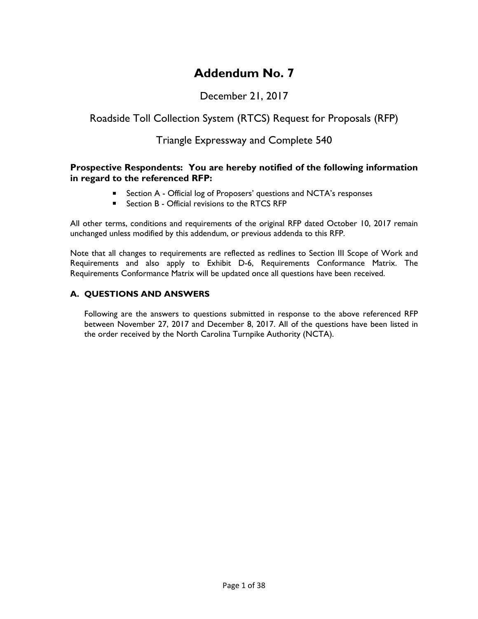# **Addendum No. 7**

# December 21, 2017

# Roadside Toll Collection System (RTCS) Request for Proposals (RFP)

# Triangle Expressway and Complete 540

#### **Prospective Respondents: You are hereby notified of the following information in regard to the referenced RFP:**

- **E** Section A Official log of Proposers' questions and NCTA's responses
- Section B Official revisions to the RTCS RFP

All other terms, conditions and requirements of the original RFP dated October 10, 2017 remain unchanged unless modified by this addendum, or previous addenda to this RFP.

Note that all changes to requirements are reflected as redlines to Section III Scope of Work and Requirements and also apply to Exhibit D-6, Requirements Conformance Matrix. The Requirements Conformance Matrix will be updated once all questions have been received.

## **A. QUESTIONS AND ANSWERS**

Following are the answers to questions submitted in response to the above referenced RFP between November 27, 2017 and December 8, 2017. All of the questions have been listed in the order received by the North Carolina Turnpike Authority (NCTA).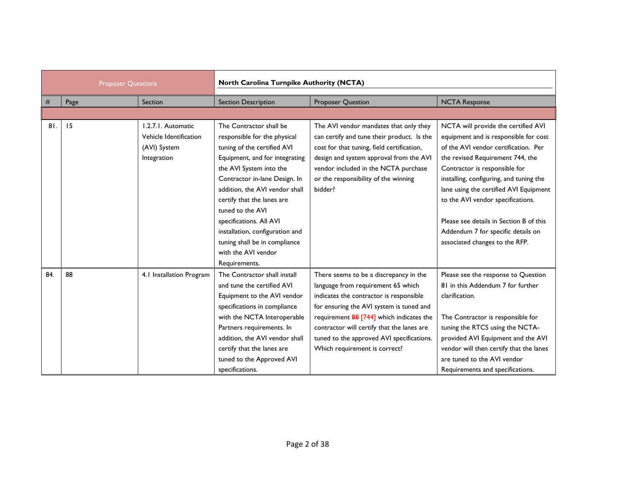| <b>Proposer Questions</b> |      | North Carolina Turnpike Authority (NCTA) |                                 |                                            |                                         |
|---------------------------|------|------------------------------------------|---------------------------------|--------------------------------------------|-----------------------------------------|
| #                         | Page | Section                                  | <b>Section Description</b>      | <b>Proposer Question</b>                   | <b>NCTA Response</b>                    |
|                           |      |                                          |                                 |                                            |                                         |
| 81.                       | 15   | 1.2.7.1. Automatic                       | The Contractor shall be         | The AVI vendor mandates that only they     | NCTA will provide the certified AVI     |
|                           |      | Vehicle Identification                   | responsible for the physical    | can certify and tune their product. Is the | equipment and is responsible for cost   |
|                           |      | (AVI) System                             | tuning of the certified AVI     | cost for that tuning, field certification, | of the AVI vendor certification. Per    |
|                           |      | Integration                              | Equipment, and for integrating  | design and system approval from the AVI    | the revised Requirement 744, the        |
|                           |      |                                          | the AVI System into the         | vendor included in the NCTA purchase       | Contractor is responsible for           |
|                           |      |                                          | Contractor in-lane Design. In   | or the responsibility of the winning       | installing, configuring, and tuning the |
|                           |      |                                          | addition, the AVI vendor shall  | bidder?                                    | lane using the certified AVI Equipment  |
|                           |      |                                          | certify that the lanes are      |                                            | to the AVI vendor specifications.       |
|                           |      |                                          | tuned to the AVI                |                                            |                                         |
|                           |      |                                          | specifications. All AVI         |                                            | Please see details in Section B of this |
|                           |      |                                          | installation, configuration and |                                            | Addendum 7 for specific details on      |
|                           |      |                                          | tuning shall be in compliance   |                                            | associated changes to the RFP.          |
|                           |      |                                          | with the AVI vendor             |                                            |                                         |
|                           |      |                                          | Requirements.                   |                                            |                                         |
| 84.                       | 88   | 4.1 Installation Program                 | The Contractor shall install    | There seems to be a discrepancy in the     | Please see the response to Question     |
|                           |      |                                          | and tune the certified AVI      | language from requirement 65 which         | 81 in this Addendum 7 for further       |
|                           |      |                                          | Equipment to the AVI vendor     | indicates the contractor is responsible    | clarification.                          |
|                           |      |                                          | specifications in compliance    | for ensuring the AVI system is tuned and   |                                         |
|                           |      |                                          | with the NCTA Interoperable     | requirement 88 [744] which indicates the   | The Contractor is responsible for       |
|                           |      |                                          | Partners requirements. In       | contractor will certify that the lanes are | tuning the RTCS using the NCTA-         |
|                           |      |                                          | addition, the AVI vendor shall  | tuned to the approved AVI specifications.  | provided AVI Equipment and the AVI      |
|                           |      |                                          | certify that the lanes are      | Which requirement is correct?              | vendor will then certify that the lanes |
|                           |      |                                          | tuned to the Approved AVI       |                                            | are tuned to the AVI vendor             |
|                           |      |                                          | specifications.                 |                                            | Requirements and specifications.        |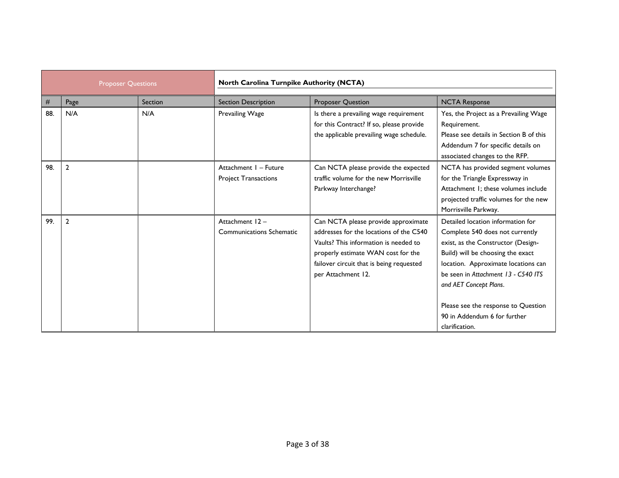| <b>Proposer Questions</b> |                | North Carolina Turnpike Authority (NCTA) |                                                      |                                                                                                                                                                                                                                 |                                                                                                                                                                                                                                                                                                                                                  |
|---------------------------|----------------|------------------------------------------|------------------------------------------------------|---------------------------------------------------------------------------------------------------------------------------------------------------------------------------------------------------------------------------------|--------------------------------------------------------------------------------------------------------------------------------------------------------------------------------------------------------------------------------------------------------------------------------------------------------------------------------------------------|
| #                         | Page           | Section                                  | <b>Section Description</b>                           | <b>Proposer Question</b>                                                                                                                                                                                                        | <b>NCTA Response</b>                                                                                                                                                                                                                                                                                                                             |
| 88.                       | N/A            | N/A                                      | Prevailing Wage                                      | Is there a prevailing wage requirement<br>for this Contract? If so, please provide<br>the applicable prevailing wage schedule.                                                                                                  | Yes, the Project as a Prevailing Wage<br>Requirement.<br>Please see details in Section B of this<br>Addendum 7 for specific details on<br>associated changes to the RFP.                                                                                                                                                                         |
| 98.                       | $\overline{2}$ |                                          | Attachment I - Future<br><b>Project Transactions</b> | Can NCTA please provide the expected<br>traffic volume for the new Morrisville<br>Parkway Interchange?                                                                                                                          | NCTA has provided segment volumes<br>for the Triangle Expressway in<br>Attachment 1: these volumes include<br>projected traffic volumes for the new<br>Morrisville Parkway.                                                                                                                                                                      |
| 99.                       | $\overline{2}$ |                                          | Attachment 12-<br><b>Communications Schematic</b>    | Can NCTA please provide approximate<br>addresses for the locations of the C540<br>Vaults? This information is needed to<br>properly estimate WAN cost for the<br>failover circuit that is being requested<br>per Attachment 12. | Detailed location information for<br>Complete 540 does not currently<br>exist, as the Constructor (Design-<br>Build) will be choosing the exact<br>location. Approximate locations can<br>be seen in Attachment 13 - C540 ITS<br>and AET Concept Plans.<br>Please see the response to Question<br>90 in Addendum 6 for further<br>clarification. |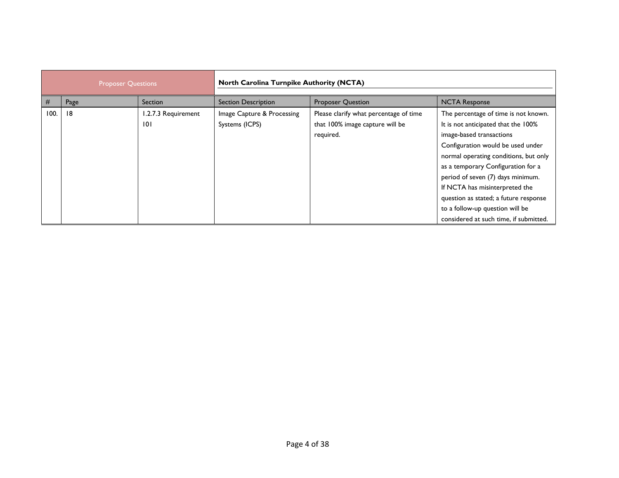| <b>Proposer Questions</b> |      | <b>North Carolina Turnpike Authority (NCTA)</b> |                                              |                                                                                        |                                                                                                                                                                                                                                                                                                                                                                                                                          |
|---------------------------|------|-------------------------------------------------|----------------------------------------------|----------------------------------------------------------------------------------------|--------------------------------------------------------------------------------------------------------------------------------------------------------------------------------------------------------------------------------------------------------------------------------------------------------------------------------------------------------------------------------------------------------------------------|
| #                         | Page | <b>Section</b>                                  | <b>Section Description</b>                   | <b>Proposer Question</b>                                                               | <b>NCTA Response</b>                                                                                                                                                                                                                                                                                                                                                                                                     |
| 100.                      | 18   | 1.2.7.3 Requirement<br>101                      | Image Capture & Processing<br>Systems (ICPS) | Please clarify what percentage of time<br>that 100% image capture will be<br>required. | The percentage of time is not known.<br>It is not anticipated that the 100%<br>image-based transactions<br>Configuration would be used under<br>normal operating conditions, but only<br>as a temporary Configuration for a<br>period of seven (7) days minimum.<br>If NCTA has misinterpreted the<br>question as stated; a future response<br>to a follow-up question will be<br>considered at such time, if submitted. |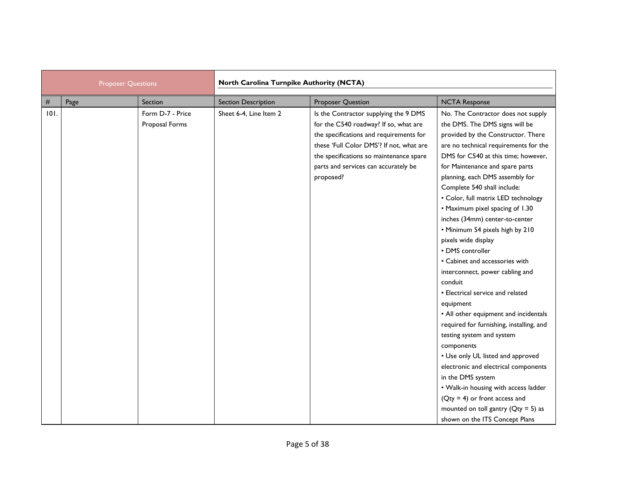| <b>Proposer Questions</b> |      | North Carolina Turnpike Authority (NCTA) |                            |                                                                                                                                                                                                                                                                       |                                                                                                                                                                                                                                                                                                                                                                                                                                                                                                                                                                                                                                                                                                                                                                                                                                                                                                                                                                                                                      |  |
|---------------------------|------|------------------------------------------|----------------------------|-----------------------------------------------------------------------------------------------------------------------------------------------------------------------------------------------------------------------------------------------------------------------|----------------------------------------------------------------------------------------------------------------------------------------------------------------------------------------------------------------------------------------------------------------------------------------------------------------------------------------------------------------------------------------------------------------------------------------------------------------------------------------------------------------------------------------------------------------------------------------------------------------------------------------------------------------------------------------------------------------------------------------------------------------------------------------------------------------------------------------------------------------------------------------------------------------------------------------------------------------------------------------------------------------------|--|
| $\#$                      | Page | Section                                  | <b>Section Description</b> | Proposer Question                                                                                                                                                                                                                                                     | <b>NCTA Response</b>                                                                                                                                                                                                                                                                                                                                                                                                                                                                                                                                                                                                                                                                                                                                                                                                                                                                                                                                                                                                 |  |
| 101.                      |      | Form D-7 - Price<br>Proposal Forms       | Sheet 6-4, Line Item 2     | Is the Contractor supplying the 9 DMS<br>for the C540 roadway? If so, what are<br>the specifications and requirements for<br>these 'Full Color DMS'! If not, what are<br>the specifications so maintenance spare<br>parts and services can accurately be<br>proposed? | No. The Contractor does not supply<br>the DMS. The DMS signs will be<br>provided by the Constructor. There<br>are no technical requirements for the<br>DMS for C540 at this time; however,<br>for Maintenance and spare parts<br>planning, each DMS assembly for<br>Complete 540 shall include:<br>• Color, full matrix LED technology<br>• Maximum pixel spacing of 1.30<br>inches (34mm) center-to-center<br>• Minimum 54 pixels high by 210<br>pixels wide display<br>• DMS controller<br>• Cabinet and accessories with<br>interconnect, power cabling and<br>conduit<br>• Electrical service and related<br>equipment<br>• All other equipment and incidentals<br>required for furnishing, installing, and<br>testing system and system<br>components<br>• Use only UL listed and approved<br>electronic and electrical components<br>in the DMS system<br>• Walk-in housing with access ladder<br>$(Qty = 4)$ or front access and<br>mounted on toll gantry ( $Qty = 5$ ) as<br>shown on the ITS Concept Plans |  |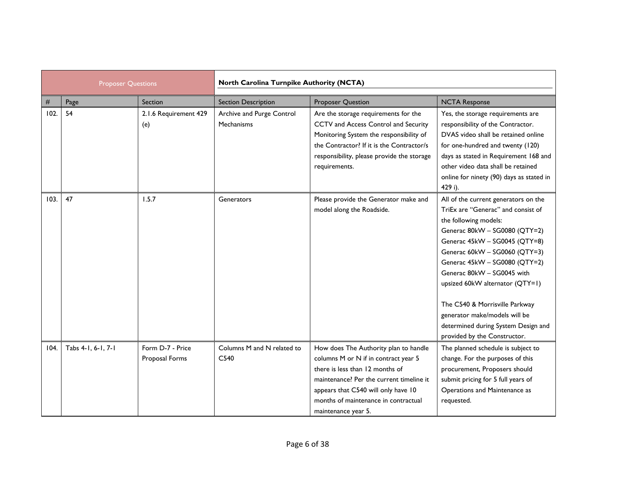| <b>Proposer Questions</b> |                    |                                    | North Carolina Turnpike Authority (NCTA) |                                                                                                                                                                                                                                                                    |                                                                                                                                                                                                                                                                                                                                                                                                                                                    |  |
|---------------------------|--------------------|------------------------------------|------------------------------------------|--------------------------------------------------------------------------------------------------------------------------------------------------------------------------------------------------------------------------------------------------------------------|----------------------------------------------------------------------------------------------------------------------------------------------------------------------------------------------------------------------------------------------------------------------------------------------------------------------------------------------------------------------------------------------------------------------------------------------------|--|
| #                         | Page               | Section                            | <b>Section Description</b>               | <b>Proposer Question</b>                                                                                                                                                                                                                                           | <b>NCTA Response</b>                                                                                                                                                                                                                                                                                                                                                                                                                               |  |
| 102.                      | 54                 | 2.1.6 Requirement 429<br>(e)       | Archive and Purge Control<br>Mechanisms  | Are the storage requirements for the<br>CCTV and Access Control and Security<br>Monitoring System the responsibility of<br>the Contractor? If it is the Contractor/s<br>responsibility, please provide the storage<br>requirements.                                | Yes, the storage requirements are<br>responsibility of the Contractor.<br>DVAS video shall be retained online<br>for one-hundred and twenty (120)<br>days as stated in Requirement 168 and<br>other video data shall be retained<br>online for ninety (90) days as stated in<br>429 i).                                                                                                                                                            |  |
| 103.                      | 47                 | 1.5.7                              | Generators                               | Please provide the Generator make and<br>model along the Roadside.                                                                                                                                                                                                 | All of the current generators on the<br>TriEx are "Generac" and consist of<br>the following models:<br>Generac 80kW - SG0080 (QTY=2)<br>Generac 45kW - SG0045 (QTY=8)<br>Generac 60kW - SG0060 (QTY=3)<br>Generac 45kW - SG0080 (QTY=2)<br>Generac 80kW - SG0045 with<br>upsized 60kW alternator (QTY=1)<br>The C540 & Morrisville Parkway<br>generator make/models will be<br>determined during System Design and<br>provided by the Constructor. |  |
| 104.                      | Tabs 4-1, 6-1, 7-1 | Form D-7 - Price<br>Proposal Forms | Columns M and N related to<br>C540       | How does The Authority plan to handle<br>columns M or N if in contract year 5<br>there is less than 12 months of<br>maintenance? Per the current timeline it<br>appears that C540 will only have 10<br>months of maintenance in contractual<br>maintenance year 5. | The planned schedule is subject to<br>change. For the purposes of this<br>procurement, Proposers should<br>submit pricing for 5 full years of<br>Operations and Maintenance as<br>requested.                                                                                                                                                                                                                                                       |  |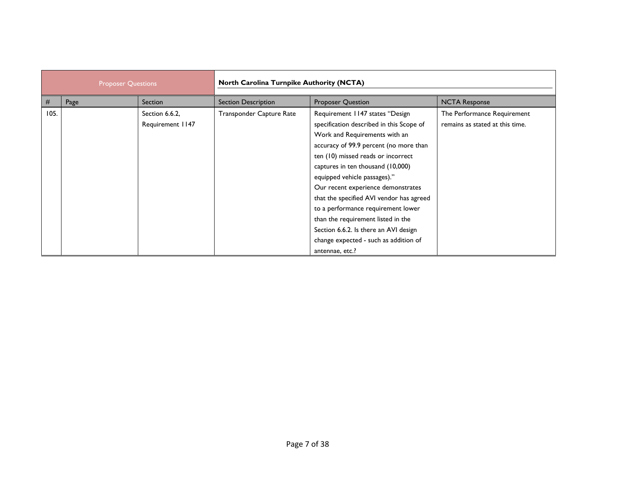| <b>Proposer Questions</b> |      | <b>North Carolina Turnpike Authority (NCTA)</b> |                            |                                                                                                                                                                                                                                                                                                                                                                                                                                                                                                                                      |                                                                |
|---------------------------|------|-------------------------------------------------|----------------------------|--------------------------------------------------------------------------------------------------------------------------------------------------------------------------------------------------------------------------------------------------------------------------------------------------------------------------------------------------------------------------------------------------------------------------------------------------------------------------------------------------------------------------------------|----------------------------------------------------------------|
| $\#$                      | Page | Section                                         | <b>Section Description</b> | Proposer Question                                                                                                                                                                                                                                                                                                                                                                                                                                                                                                                    | <b>NCTA Response</b>                                           |
| 105.                      |      | Section 6.6.2,<br>Requirement 1147              | Transponder Capture Rate   | Requirement 1147 states "Design<br>specification described in this Scope of<br>Work and Requirements with an<br>accuracy of 99.9 percent (no more than<br>ten (10) missed reads or incorrect<br>captures in ten thousand (10,000)<br>equipped vehicle passages)."<br>Our recent experience demonstrates<br>that the specified AVI vendor has agreed<br>to a performance requirement lower<br>than the requirement listed in the<br>Section 6.6.2. Is there an AVI design<br>change expected - such as addition of<br>antennae, etc.? | The Performance Requirement<br>remains as stated at this time. |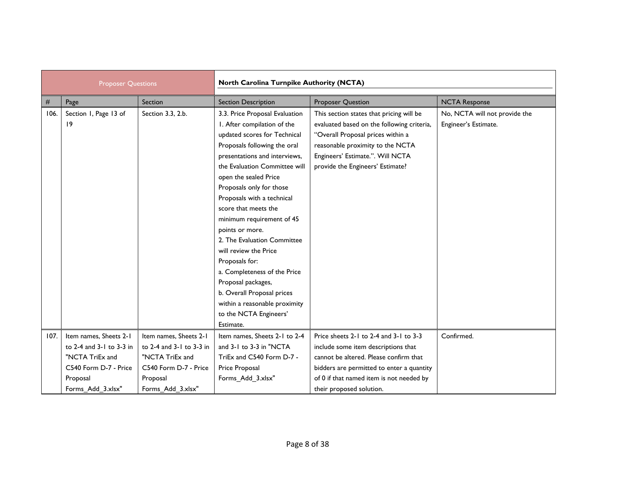| <b>Proposer Questions</b> |                          | North Carolina Turnpike Authority (NCTA) |                                |                                            |                               |  |
|---------------------------|--------------------------|------------------------------------------|--------------------------------|--------------------------------------------|-------------------------------|--|
| $\#$                      | Page                     | Section                                  | <b>Section Description</b>     | <b>Proposer Question</b>                   | <b>NCTA Response</b>          |  |
| 106.                      | Section 1, Page 13 of    | Section 3.3, 2.b.                        | 3.3. Price Proposal Evaluation | This section states that pricing will be   | No, NCTA will not provide the |  |
|                           | 19                       |                                          | I. After compilation of the    | evaluated based on the following criteria, | Engineer's Estimate.          |  |
|                           |                          |                                          | updated scores for Technical   | "Overall Proposal prices within a          |                               |  |
|                           |                          |                                          | Proposals following the oral   | reasonable proximity to the NCTA           |                               |  |
|                           |                          |                                          | presentations and interviews,  | Engineers' Estimate.". Will NCTA           |                               |  |
|                           |                          |                                          | the Evaluation Committee will  | provide the Engineers' Estimate?           |                               |  |
|                           |                          |                                          | open the sealed Price          |                                            |                               |  |
|                           |                          |                                          | Proposals only for those       |                                            |                               |  |
|                           |                          |                                          | Proposals with a technical     |                                            |                               |  |
|                           |                          |                                          | score that meets the           |                                            |                               |  |
|                           |                          |                                          | minimum requirement of 45      |                                            |                               |  |
|                           |                          |                                          | points or more.                |                                            |                               |  |
|                           |                          |                                          | 2. The Evaluation Committee    |                                            |                               |  |
|                           |                          |                                          | will review the Price          |                                            |                               |  |
|                           |                          |                                          | Proposals for:                 |                                            |                               |  |
|                           |                          |                                          | a. Completeness of the Price   |                                            |                               |  |
|                           |                          |                                          | Proposal packages,             |                                            |                               |  |
|                           |                          |                                          | b. Overall Proposal prices     |                                            |                               |  |
|                           |                          |                                          | within a reasonable proximity  |                                            |                               |  |
|                           |                          |                                          | to the NCTA Engineers'         |                                            |                               |  |
|                           |                          |                                          | Estimate.                      |                                            |                               |  |
| 107.                      | Item names, Sheets 2-1   | Item names, Sheets 2-1                   | Item names, Sheets 2-1 to 2-4  | Price sheets 2-1 to 2-4 and 3-1 to 3-3     | Confirmed.                    |  |
|                           | to 2-4 and 3-1 to 3-3 in | to 2-4 and 3-1 to 3-3 in                 | and 3-1 to 3-3 in "NCTA        | include some item descriptions that        |                               |  |
|                           | "NCTA TriEx and          | "NCTA TriEx and                          | TriEx and C540 Form D-7 -      | cannot be altered. Please confirm that     |                               |  |
|                           | C540 Form D-7 - Price    | C540 Form D-7 - Price                    | Price Proposal                 | bidders are permitted to enter a quantity  |                               |  |
|                           | Proposal                 | Proposal                                 | Forms_Add_3.xlsx"              | of 0 if that named item is not needed by   |                               |  |
|                           | Forms Add 3.xlsx"        | Forms Add 3.xlsx"                        |                                | their proposed solution.                   |                               |  |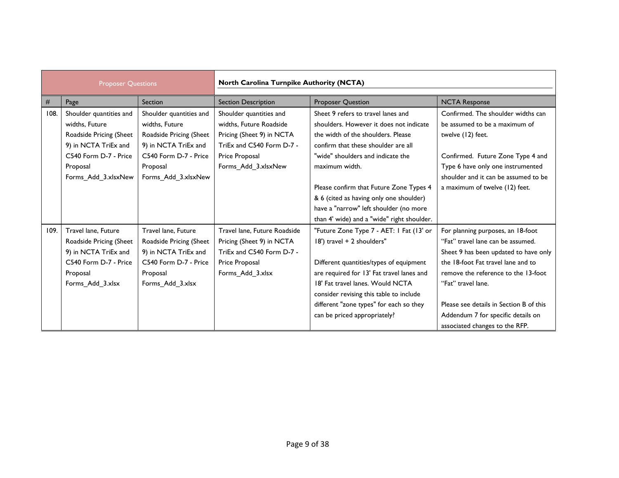| <b>Proposer Questions</b> |                         | North Carolina Turnpike Authority (NCTA) |                              |                                            |                                         |
|---------------------------|-------------------------|------------------------------------------|------------------------------|--------------------------------------------|-----------------------------------------|
| $\#$                      | Page                    | Section                                  | <b>Section Description</b>   | <b>Proposer Question</b>                   | <b>NCTA Response</b>                    |
| 108.                      | Shoulder quantities and | Shoulder quantities and                  | Shoulder quantities and      | Sheet 9 refers to travel lanes and         | Confirmed. The shoulder widths can      |
|                           | widths, Future          | widths, Future                           | widths. Future Roadside      | shoulders. However it does not indicate    | be assumed to be a maximum of           |
|                           | Roadside Pricing (Sheet | Roadside Pricing (Sheet                  | Pricing (Sheet 9) in NCTA    | the width of the shoulders. Please         | twelve (12) feet.                       |
|                           | 9) in NCTA TriEx and    | 9) in NCTA TriEx and                     | TriEx and C540 Form D-7 -    | confirm that these shoulder are all        |                                         |
|                           | C540 Form D-7 - Price   | C540 Form D-7 - Price                    | Price Proposal               | "wide" shoulders and indicate the          | Confirmed. Future Zone Type 4 and       |
|                           | Proposal                | Proposal                                 | Forms_Add_3.xlsxNew          | maximum width.                             | Type 6 have only one instrumented       |
|                           | Forms_Add_3.xlsxNew     | Forms_Add_3.xlsxNew                      |                              |                                            | shoulder and it can be assumed to be    |
|                           |                         |                                          |                              | Please confirm that Future Zone Types 4    | a maximum of twelve (12) feet.          |
|                           |                         |                                          |                              | & 6 (cited as having only one shoulder)    |                                         |
|                           |                         |                                          |                              | have a "narrow" left shoulder (no more     |                                         |
|                           |                         |                                          |                              | than 4' wide) and a "wide" right shoulder. |                                         |
| 109.                      | Travel lane, Future     | Travel lane, Future                      | Travel lane, Future Roadside | "Future Zone Type 7 - AET: I Fat (13' or   | For planning purposes, an 18-foot       |
|                           | Roadside Pricing (Sheet | Roadside Pricing (Sheet                  | Pricing (Sheet 9) in NCTA    | 18') travel + 2 shoulders"                 | "Fat" travel lane can be assumed.       |
|                           | 9) in NCTA TriEx and    | 9) in NCTA TriEx and                     | TriEx and C540 Form D-7 -    |                                            | Sheet 9 has been updated to have only   |
|                           | C540 Form D-7 - Price   | C540 Form D-7 - Price                    | Price Proposal               | Different quantities/types of equipment    | the 18-foot Fat travel lane and to      |
|                           | Proposal                | Proposal                                 | Forms Add 3.xlsx             | are required for 13' Fat travel lanes and  | remove the reference to the 13-foot     |
|                           | Forms_Add_3.xlsx        | Forms_Add_3.xlsx                         |                              | 18' Fat travel lanes. Would NCTA           | "Fat" travel lane.                      |
|                           |                         |                                          |                              | consider revising this table to include    |                                         |
|                           |                         |                                          |                              | different "zone types" for each so they    | Please see details in Section B of this |
|                           |                         |                                          |                              | can be priced appropriately?               | Addendum 7 for specific details on      |
|                           |                         |                                          |                              |                                            | associated changes to the RFP.          |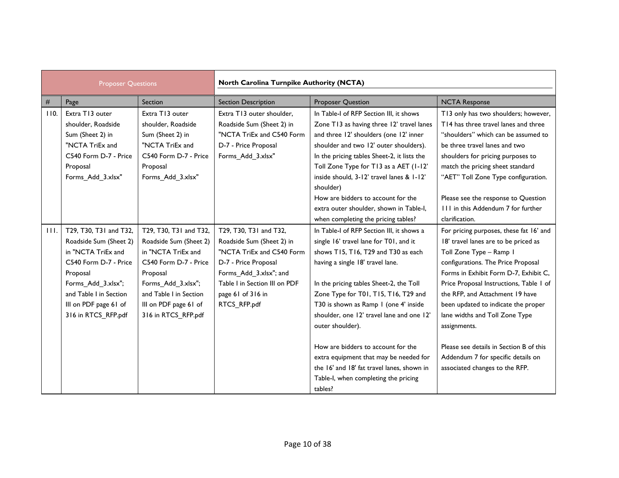| <b>Proposer Questions</b> |                                                                                                                                                                                                             |                                                                                                                                                                                                             | North Carolina Turnpike Authority (NCTA)                                                                                                                                                                 |                                                                                                                                                                                                                                                                                                                                                                   |                                                                                                                                                                                                                                                                                                                                                                  |  |  |
|---------------------------|-------------------------------------------------------------------------------------------------------------------------------------------------------------------------------------------------------------|-------------------------------------------------------------------------------------------------------------------------------------------------------------------------------------------------------------|----------------------------------------------------------------------------------------------------------------------------------------------------------------------------------------------------------|-------------------------------------------------------------------------------------------------------------------------------------------------------------------------------------------------------------------------------------------------------------------------------------------------------------------------------------------------------------------|------------------------------------------------------------------------------------------------------------------------------------------------------------------------------------------------------------------------------------------------------------------------------------------------------------------------------------------------------------------|--|--|
| #                         | Page                                                                                                                                                                                                        | Section                                                                                                                                                                                                     | <b>Section Description</b>                                                                                                                                                                               | <b>Proposer Question</b>                                                                                                                                                                                                                                                                                                                                          | <b>NCTA Response</b>                                                                                                                                                                                                                                                                                                                                             |  |  |
| 110.                      | Extra T13 outer<br>shoulder, Roadside<br>Sum (Sheet 2) in<br>"NCTA TriEx and<br>C540 Form D-7 - Price<br>Proposal<br>Forms_Add_3.xlsx"                                                                      | Extra T13 outer<br>shoulder, Roadside<br>Sum (Sheet 2) in<br>"NCTA TriEx and<br>C540 Form D-7 - Price<br>Proposal<br>Forms_Add_3.xlsx"                                                                      | Extra T13 outer shoulder.<br>Roadside Sum (Sheet 2) in<br>"NCTA TriEx and C540 Form<br>D-7 - Price Proposal<br>Forms_Add_3.xlsx"                                                                         | In Table-I of RFP Section III, it shows<br>Zone T13 as having three 12' travel lanes<br>and three 12' shoulders (one 12' inner<br>shoulder and two 12' outer shoulders).<br>In the pricing tables Sheet-2, it lists the<br>Toll Zone Type for T13 as a AET (1-12'<br>inside should, 3-12' travel lanes & 1-12'<br>shoulder)<br>How are bidders to account for the | T13 only has two shoulders; however,<br>T14 has three travel lanes and three<br>"shoulders" which can be assumed to<br>be three travel lanes and two<br>shoulders for pricing purposes to<br>match the pricing sheet standard<br>"AET" Toll Zone Type configuration.<br>Please see the response to Question                                                      |  |  |
|                           |                                                                                                                                                                                                             |                                                                                                                                                                                                             |                                                                                                                                                                                                          | extra outer shoulder, shown in Table-I,<br>when completing the pricing tables?                                                                                                                                                                                                                                                                                    | III in this Addendum 7 for further<br>clarification.                                                                                                                                                                                                                                                                                                             |  |  |
| 111.                      | T29, T30, T31 and T32,<br>Roadside Sum (Sheet 2)<br>in "NCTA TriEx and<br>C540 Form D-7 - Price<br>Proposal<br>Forms_Add_3.xlsx";<br>and Table I in Section<br>III on PDF page 61 of<br>316 in RTCS_RFP.pdf | T29, T30, T31 and T32,<br>Roadside Sum (Sheet 2)<br>in "NCTA TriEx and<br>C540 Form D-7 - Price<br>Proposal<br>Forms Add 3.xlsx";<br>and Table I in Section<br>III on PDF page 61 of<br>316 in RTCS_RFP.pdf | T29, T30, T31 and T32,<br>Roadside Sum (Sheet 2) in<br>"NCTA TriEx and C540 Form<br>D-7 - Price Proposal<br>Forms_Add_3.xlsx"; and<br>Table I in Section III on PDF<br>page 61 of 316 in<br>RTCS_RFP.pdf | In Table-I of RFP Section III, it shows a<br>single 16' travel lane for T01, and it<br>shows T15, T16, T29 and T30 as each<br>having a single 18' travel lane.<br>In the pricing tables Sheet-2, the Toll<br>Zone Type for T01, T15, T16, T29 and<br>T30 is shown as Ramp 1 (one 4' inside<br>shoulder, one 12' travel lane and one 12'<br>outer shoulder).       | For pricing purposes, these fat 16' and<br>18' travel lanes are to be priced as<br>Toll Zone Type - Ramp I<br>configurations. The Price Proposal<br>Forms in Exhibit Form D-7, Exhibit C,<br>Price Proposal Instructions, Table 1 of<br>the RFP, and Attachment 19 have<br>been updated to indicate the proper<br>lane widths and Toll Zone Type<br>assignments. |  |  |
|                           |                                                                                                                                                                                                             |                                                                                                                                                                                                             |                                                                                                                                                                                                          | How are bidders to account for the<br>extra equipment that may be needed for<br>the 16' and 18' fat travel lanes, shown in<br>Table-I, when completing the pricing<br>tables?                                                                                                                                                                                     | Please see details in Section B of this<br>Addendum 7 for specific details on<br>associated changes to the RFP.                                                                                                                                                                                                                                                  |  |  |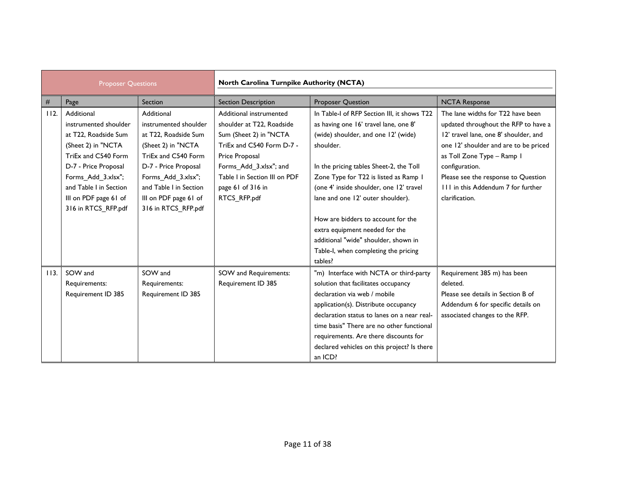| <b>Proposer Questions</b> |                        | North Carolina Turnpike Authority (NCTA) |                               |                                             |                                       |
|---------------------------|------------------------|------------------------------------------|-------------------------------|---------------------------------------------|---------------------------------------|
| #                         | Page                   | Section                                  | <b>Section Description</b>    | <b>Proposer Question</b>                    | <b>NCTA Response</b>                  |
| 112.                      | Additional             | Additional                               | Additional instrumented       | In Table-I of RFP Section III, it shows T22 | The lane widths for T22 have been     |
|                           | instrumented shoulder  | instrumented shoulder                    | shoulder at T22, Roadside     | as having one 16' travel lane, one 8'       | updated throughout the RFP to have a  |
|                           | at T22, Roadside Sum   | at T22, Roadside Sum                     | Sum (Sheet 2) in "NCTA        | (wide) shoulder, and one 12' (wide)         | 12' travel lane, one 8' shoulder, and |
|                           | (Sheet 2) in "NCTA     | (Sheet 2) in "NCTA                       | TriEx and C540 Form D-7 -     | shoulder.                                   | one 12' shoulder and are to be priced |
|                           | TriEx and C540 Form    | TriEx and C540 Form                      | Price Proposal                |                                             | as Toll Zone Type - Ramp I            |
|                           | D-7 - Price Proposal   | D-7 - Price Proposal                     | Forms_Add_3.xlsx"; and        | In the pricing tables Sheet-2, the Toll     | configuration.                        |
|                           | Forms_Add_3.xlsx";     | Forms_Add_3.xlsx";                       | Table I in Section III on PDF | Zone Type for T22 is listed as Ramp 1       | Please see the response to Question   |
|                           | and Table I in Section | and Table I in Section                   | page 61 of 316 in             | (one 4' inside shoulder, one 12' travel     | 111 in this Addendum 7 for further    |
|                           | III on PDF page 61 of  | III on PDF page 61 of                    | RTCS_RFP.pdf                  | lane and one 12' outer shoulder).           | clarification.                        |
|                           | 316 in RTCS_RFP.pdf    | 316 in RTCS_RFP.pdf                      |                               |                                             |                                       |
|                           |                        |                                          |                               | How are bidders to account for the          |                                       |
|                           |                        |                                          |                               | extra equipment needed for the              |                                       |
|                           |                        |                                          |                               | additional "wide" shoulder, shown in        |                                       |
|                           |                        |                                          |                               | Table-I, when completing the pricing        |                                       |
|                           |                        |                                          |                               | tables?                                     |                                       |
| 113.                      | SOW and                | SOW and                                  | SOW and Requirements:         | "m) Interface with NCTA or third-party      | Requirement 385 m) has been           |
|                           | Requirements:          | Requirements:                            | Requirement ID 385            | solution that facilitates occupancy         | deleted.                              |
|                           | Requirement ID 385     | Requirement ID 385                       |                               | declaration via web / mobile                | Please see details in Section B of    |
|                           |                        |                                          |                               | application(s). Distribute occupancy        | Addendum 6 for specific details on    |
|                           |                        |                                          |                               | declaration status to lanes on a near real- | associated changes to the RFP.        |
|                           |                        |                                          |                               | time basis" There are no other functional   |                                       |
|                           |                        |                                          |                               | requirements. Are there discounts for       |                                       |
|                           |                        |                                          |                               | declared vehicles on this project? Is there |                                       |
|                           |                        |                                          |                               | an ICD?                                     |                                       |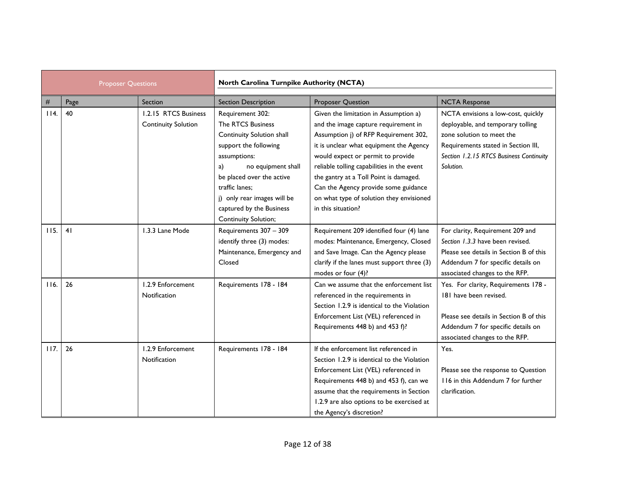| <b>Proposer Questions</b> |      |                                                    | North Carolina Turnpike Authority (NCTA)                                                                                                                                                                                                                                  |                                                                                                                                                                                                                                                                                                                                                                                                          |                                                                                                                                                                                                     |  |
|---------------------------|------|----------------------------------------------------|---------------------------------------------------------------------------------------------------------------------------------------------------------------------------------------------------------------------------------------------------------------------------|----------------------------------------------------------------------------------------------------------------------------------------------------------------------------------------------------------------------------------------------------------------------------------------------------------------------------------------------------------------------------------------------------------|-----------------------------------------------------------------------------------------------------------------------------------------------------------------------------------------------------|--|
| #                         | Page | Section                                            | <b>Section Description</b>                                                                                                                                                                                                                                                | <b>Proposer Question</b>                                                                                                                                                                                                                                                                                                                                                                                 | <b>NCTA Response</b>                                                                                                                                                                                |  |
| 114.                      | 40   | 1.2.15 RTCS Business<br><b>Continuity Solution</b> | Requirement 302:<br>The RTCS Business<br>Continuity Solution shall<br>support the following<br>assumptions:<br>no equipment shall<br>a)<br>be placed over the active<br>traffic lanes;<br>j) only rear images will be<br>captured by the Business<br>Continuity Solution; | Given the limitation in Assumption a)<br>and the image capture requirement in<br>Assumption j) of RFP Requirement 302,<br>it is unclear what equipment the Agency<br>would expect or permit to provide<br>reliable tolling capabilities in the event<br>the gantry at a Toll Point is damaged.<br>Can the Agency provide some guidance<br>on what type of solution they envisioned<br>in this situation? | NCTA envisions a low-cost, quickly<br>deployable, and temporary tolling<br>zone solution to meet the<br>Requirements stated in Section III,<br>Section 1.2.15 RTCS Business Continuity<br>Solution. |  |
| 115.                      | 41   | 1.3.3 Lane Mode                                    | Requirements 307 - 309<br>identify three (3) modes:<br>Maintenance, Emergency and<br>Closed                                                                                                                                                                               | Requirement 209 identified four (4) lane<br>modes: Maintenance, Emergency, Closed<br>and Save Image. Can the Agency please<br>clarify if the lanes must support three (3)<br>modes or four (4)?                                                                                                                                                                                                          | For clarity, Requirement 209 and<br>Section 1.3.3 have been revised.<br>Please see details in Section B of this<br>Addendum 7 for specific details on<br>associated changes to the RFP.             |  |
| 116.                      | 26   | 1.2.9 Enforcement<br>Notification                  | Requirements 178 - 184                                                                                                                                                                                                                                                    | Can we assume that the enforcement list<br>referenced in the requirements in<br>Section 1.2.9 is identical to the Violation<br>Enforcement List (VEL) referenced in<br>Requirements 448 b) and 453 f)?                                                                                                                                                                                                   | Yes. For clarity, Requirements 178 -<br>181 have been revised.<br>Please see details in Section B of this<br>Addendum 7 for specific details on<br>associated changes to the RFP.                   |  |
| 117.                      | 26   | 1.2.9 Enforcement<br>Notification                  | Requirements 178 - 184                                                                                                                                                                                                                                                    | If the enforcement list referenced in<br>Section 1.2.9 is identical to the Violation<br>Enforcement List (VEL) referenced in<br>Requirements 448 b) and 453 f), can we<br>assume that the requirements in Section<br>1.2.9 are also options to be exercised at<br>the Agency's discretion?                                                                                                               | Yes.<br>Please see the response to Question<br>116 in this Addendum 7 for further<br>clarification.                                                                                                 |  |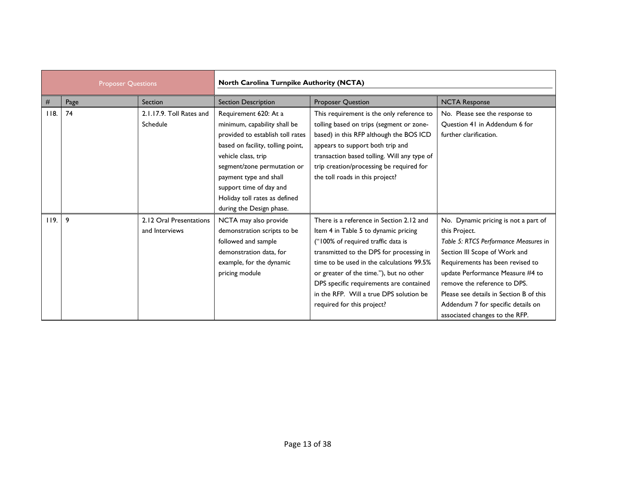| <b>Proposer Questions</b> |      | North Carolina Turnpike Authority (NCTA)  |                                                                                                                                                                                                                                                                                                        |                                                                                                                                                                                                                                                                                                                                                                                |                                                                                                                                                                                                                                                                                                                                                            |
|---------------------------|------|-------------------------------------------|--------------------------------------------------------------------------------------------------------------------------------------------------------------------------------------------------------------------------------------------------------------------------------------------------------|--------------------------------------------------------------------------------------------------------------------------------------------------------------------------------------------------------------------------------------------------------------------------------------------------------------------------------------------------------------------------------|------------------------------------------------------------------------------------------------------------------------------------------------------------------------------------------------------------------------------------------------------------------------------------------------------------------------------------------------------------|
| #                         | Page | Section                                   | <b>Section Description</b>                                                                                                                                                                                                                                                                             | Proposer Question                                                                                                                                                                                                                                                                                                                                                              | <b>NCTA Response</b>                                                                                                                                                                                                                                                                                                                                       |
| 118.                      | 74   | 2.1.17.9. Toll Rates and<br>Schedule      | Requirement 620: At a<br>minimum, capability shall be<br>provided to establish toll rates<br>based on facility, tolling point,<br>vehicle class, trip<br>segment/zone permutation or<br>payment type and shall<br>support time of day and<br>Holiday toll rates as defined<br>during the Design phase. | This requirement is the only reference to<br>tolling based on trips (segment or zone-<br>based) in this RFP although the BOS ICD<br>appears to support both trip and<br>transaction based tolling. Will any type of<br>trip creation/processing be required for<br>the toll roads in this project?                                                                             | No. Please see the response to<br>Question 41 in Addendum 6 for<br>further clarification.                                                                                                                                                                                                                                                                  |
| 119.                      | 9    | 2.12 Oral Presentations<br>and Interviews | NCTA may also provide<br>demonstration scripts to be<br>followed and sample<br>demonstration data, for<br>example, for the dynamic<br>pricing module                                                                                                                                                   | There is a reference in Section 2.12 and<br>Item 4 in Table 5 to dynamic pricing<br>("100% of required traffic data is<br>transmitted to the DPS for processing in<br>time to be used in the calculations 99.5%<br>or greater of the time."), but no other<br>DPS specific requirements are contained<br>in the RFP. Will a true DPS solution be<br>required for this project? | No. Dynamic pricing is not a part of<br>this Project.<br>Table 5: RTCS Performance Measures in<br>Section III Scope of Work and<br>Requirements has been revised to<br>update Performance Measure #4 to<br>remove the reference to DPS.<br>Please see details in Section B of this<br>Addendum 7 for specific details on<br>associated changes to the RFP. |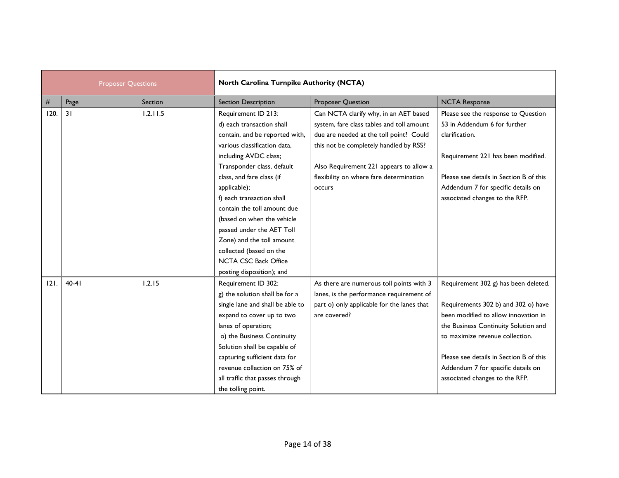| <b>Proposer Questions</b> |         | North Carolina Turnpike Authority (NCTA) |                                                                                                                                                                                                                                                                                                                                                                                                                                                                   |                                                                                                                                                                                                                                                                         |                                                                                                                                                                                                                                                                                                                   |  |
|---------------------------|---------|------------------------------------------|-------------------------------------------------------------------------------------------------------------------------------------------------------------------------------------------------------------------------------------------------------------------------------------------------------------------------------------------------------------------------------------------------------------------------------------------------------------------|-------------------------------------------------------------------------------------------------------------------------------------------------------------------------------------------------------------------------------------------------------------------------|-------------------------------------------------------------------------------------------------------------------------------------------------------------------------------------------------------------------------------------------------------------------------------------------------------------------|--|
| #                         | Page    | Section                                  | <b>Section Description</b>                                                                                                                                                                                                                                                                                                                                                                                                                                        | <b>Proposer Question</b>                                                                                                                                                                                                                                                | <b>NCTA Response</b>                                                                                                                                                                                                                                                                                              |  |
| 120.                      | 31      | 1.2.11.5                                 | Requirement ID 213:<br>d) each transaction shall<br>contain, and be reported with,<br>various classification data,<br>including AVDC class;<br>Transponder class, default<br>class, and fare class (if<br>applicable);<br>f) each transaction shall<br>contain the toll amount due<br>(based on when the vehicle<br>passed under the AET Toll<br>Zone) and the toll amount<br>collected (based on the<br><b>NCTA CSC Back Office</b><br>posting disposition); and | Can NCTA clarify why, in an AET based<br>system, fare class tables and toll amount<br>due are needed at the toll point? Could<br>this not be completely handled by RSS?<br>Also Requirement 221 appears to allow a<br>flexibility on where fare determination<br>occurs | Please see the response to Question<br>53 in Addendum 6 for further<br>clarification.<br>Requirement 221 has been modified.<br>Please see details in Section B of this<br>Addendum 7 for specific details on<br>associated changes to the RFP.                                                                    |  |
| 121.                      | $40-41$ | 1.2.15                                   | Requirement ID 302:<br>g) the solution shall be for a<br>single lane and shall be able to<br>expand to cover up to two<br>lanes of operation;<br>o) the Business Continuity<br>Solution shall be capable of<br>capturing sufficient data for<br>revenue collection on 75% of<br>all traffic that passes through<br>the tolling point.                                                                                                                             | As there are numerous toll points with 3<br>lanes, is the performance requirement of<br>part o) only applicable for the lanes that<br>are covered?                                                                                                                      | Requirement 302 g) has been deleted.<br>Requirements 302 b) and 302 o) have<br>been modified to allow innovation in<br>the Business Continuity Solution and<br>to maximize revenue collection.<br>Please see details in Section B of this<br>Addendum 7 for specific details on<br>associated changes to the RFP. |  |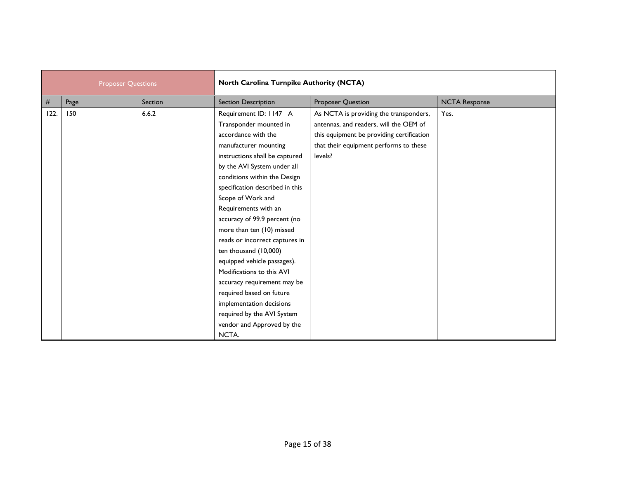| <b>Proposer Questions</b> |      | North Carolina Turnpike Authority (NCTA) |                                 |                                           |                      |
|---------------------------|------|------------------------------------------|---------------------------------|-------------------------------------------|----------------------|
| $\#$                      | Page | Section                                  | <b>Section Description</b>      | <b>Proposer Question</b>                  | <b>NCTA Response</b> |
| 122.                      | 150  | 6.6.2                                    | Requirement ID: 1147 A          | As NCTA is providing the transponders,    | Yes.                 |
|                           |      |                                          | Transponder mounted in          | antennas, and readers, will the OEM of    |                      |
|                           |      |                                          | accordance with the             | this equipment be providing certification |                      |
|                           |      |                                          | manufacturer mounting           | that their equipment performs to these    |                      |
|                           |      |                                          | instructions shall be captured  | levels?                                   |                      |
|                           |      |                                          | by the AVI System under all     |                                           |                      |
|                           |      |                                          | conditions within the Design    |                                           |                      |
|                           |      |                                          | specification described in this |                                           |                      |
|                           |      |                                          | Scope of Work and               |                                           |                      |
|                           |      |                                          | Requirements with an            |                                           |                      |
|                           |      |                                          | accuracy of 99.9 percent (no    |                                           |                      |
|                           |      |                                          | more than ten (10) missed       |                                           |                      |
|                           |      |                                          | reads or incorrect captures in  |                                           |                      |
|                           |      |                                          | ten thousand (10,000)           |                                           |                      |
|                           |      |                                          | equipped vehicle passages).     |                                           |                      |
|                           |      |                                          | Modifications to this AVI       |                                           |                      |
|                           |      |                                          | accuracy requirement may be     |                                           |                      |
|                           |      |                                          | required based on future        |                                           |                      |
|                           |      |                                          | implementation decisions        |                                           |                      |
|                           |      |                                          | required by the AVI System      |                                           |                      |
|                           |      |                                          | vendor and Approved by the      |                                           |                      |
|                           |      |                                          | NCTA.                           |                                           |                      |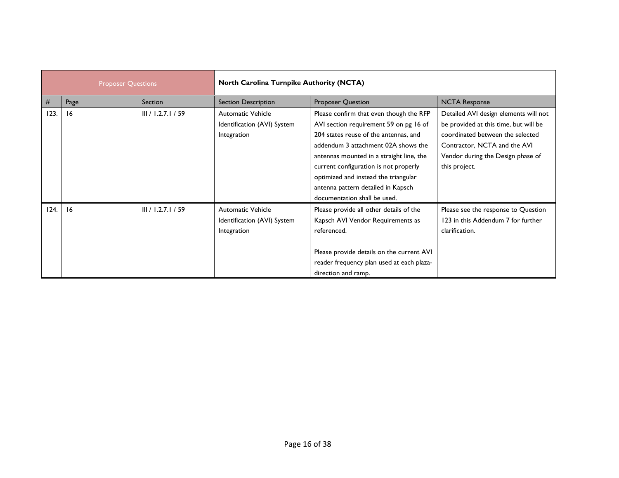| <b>Proposer Questions</b> |      | <b>North Carolina Turnpike Authority (NCTA)</b> |                                                                        |                                                                                                                                                                                                                                                                                                                                                                      |                                                                                                                                                                                                          |
|---------------------------|------|-------------------------------------------------|------------------------------------------------------------------------|----------------------------------------------------------------------------------------------------------------------------------------------------------------------------------------------------------------------------------------------------------------------------------------------------------------------------------------------------------------------|----------------------------------------------------------------------------------------------------------------------------------------------------------------------------------------------------------|
| #                         | Page | Section                                         | <b>Section Description</b>                                             | <b>Proposer Question</b>                                                                                                                                                                                                                                                                                                                                             | <b>NCTA Response</b>                                                                                                                                                                                     |
| 123.                      | 16   | III / 1.2.7.1 / 59                              | <b>Automatic Vehicle</b><br>Identification (AVI) System<br>Integration | Please confirm that even though the RFP<br>AVI section requirement 59 on pg 16 of<br>204 states reuse of the antennas, and<br>addendum 3 attachment 02A shows the<br>antennas mounted in a straight line, the<br>current configuration is not properly<br>optimized and instead the triangular<br>antenna pattern detailed in Kapsch<br>documentation shall be used. | Detailed AVI design elements will not<br>be provided at this time, but will be<br>coordinated between the selected<br>Contractor, NCTA and the AVI<br>Vendor during the Design phase of<br>this project. |
| 124.                      | 16   | III / 1.2.7.1 / 59                              | <b>Automatic Vehicle</b><br>Identification (AVI) System<br>Integration | Please provide all other details of the<br>Kapsch AVI Vendor Requirements as<br>referenced.<br>Please provide details on the current AVI<br>reader frequency plan used at each plaza-<br>direction and ramp.                                                                                                                                                         | Please see the response to Question<br>123 in this Addendum 7 for further<br>clarification.                                                                                                              |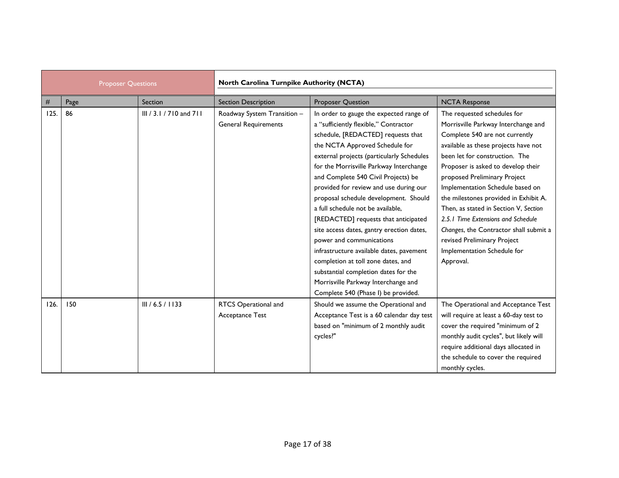| <b>Proposer Questions</b> |      | North Carolina Turnpike Authority (NCTA) |                                                            |                                                                                                                                                                                                                                                                                                                                                                                                                                                                                                                                                                                                                                                                                                   |                                                                                                                                                                                                                                                                                                                                                                                                                                                                                                                                       |
|---------------------------|------|------------------------------------------|------------------------------------------------------------|---------------------------------------------------------------------------------------------------------------------------------------------------------------------------------------------------------------------------------------------------------------------------------------------------------------------------------------------------------------------------------------------------------------------------------------------------------------------------------------------------------------------------------------------------------------------------------------------------------------------------------------------------------------------------------------------------|---------------------------------------------------------------------------------------------------------------------------------------------------------------------------------------------------------------------------------------------------------------------------------------------------------------------------------------------------------------------------------------------------------------------------------------------------------------------------------------------------------------------------------------|
| #                         | Page | Section                                  | <b>Section Description</b>                                 | <b>Proposer Question</b>                                                                                                                                                                                                                                                                                                                                                                                                                                                                                                                                                                                                                                                                          | <b>NCTA Response</b>                                                                                                                                                                                                                                                                                                                                                                                                                                                                                                                  |
| 125.                      | 86   | III / 3.1 / 710 and 711                  | Roadway System Transition -<br><b>General Requirements</b> | In order to gauge the expected range of<br>a "sufficiently flexible," Contractor<br>schedule, [REDACTED] requests that<br>the NCTA Approved Schedule for<br>external projects (particularly Schedules<br>for the Morrisville Parkway Interchange<br>and Complete 540 Civil Projects) be<br>provided for review and use during our<br>proposal schedule development. Should<br>a full schedule not be available.<br>[REDACTED] requests that anticipated<br>site access dates, gantry erection dates,<br>power and communications<br>infrastructure available dates, pavement<br>completion at toll zone dates, and<br>substantial completion dates for the<br>Morrisville Parkway Interchange and | The requested schedules for<br>Morrisville Parkway Interchange and<br>Complete 540 are not currently<br>available as these projects have not<br>been let for construction. The<br>Proposer is asked to develop their<br>proposed Preliminary Project<br>Implementation Schedule based on<br>the milestones provided in Exhibit A.<br>Then, as stated in Section V, Section<br>2.5.1 Time Extensions and Schedule<br>Changes, the Contractor shall submit a<br>revised Preliminary Project<br>Implementation Schedule for<br>Approval. |
| 126.                      | 150  | III / 6.5 / 1133                         | RTCS Operational and<br>Acceptance Test                    | Complete 540 (Phase I) be provided.<br>Should we assume the Operational and<br>Acceptance Test is a 60 calendar day test<br>based on "minimum of 2 monthly audit<br>cycles?"                                                                                                                                                                                                                                                                                                                                                                                                                                                                                                                      | The Operational and Acceptance Test<br>will require at least a 60-day test to<br>cover the required "minimum of 2<br>monthly audit cycles", but likely will<br>require additional days allocated in<br>the schedule to cover the required<br>monthly cycles.                                                                                                                                                                                                                                                                          |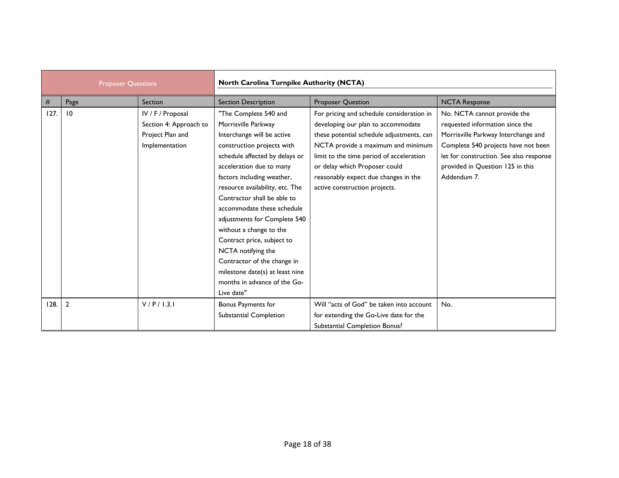| <b>Proposer Questions</b> |                | North Carolina Turnpike Authority (NCTA)                                          |                                                                                                                                                                                                                                                                                                                                                                                                                                                                                                                       |                                                                                                                                                                                                                                                                                                                          |                                                                                                                                                                                                                                            |
|---------------------------|----------------|-----------------------------------------------------------------------------------|-----------------------------------------------------------------------------------------------------------------------------------------------------------------------------------------------------------------------------------------------------------------------------------------------------------------------------------------------------------------------------------------------------------------------------------------------------------------------------------------------------------------------|--------------------------------------------------------------------------------------------------------------------------------------------------------------------------------------------------------------------------------------------------------------------------------------------------------------------------|--------------------------------------------------------------------------------------------------------------------------------------------------------------------------------------------------------------------------------------------|
| $\#$                      | Page           | Section                                                                           | <b>Section Description</b>                                                                                                                                                                                                                                                                                                                                                                                                                                                                                            | <b>Proposer Question</b>                                                                                                                                                                                                                                                                                                 | <b>NCTA Response</b>                                                                                                                                                                                                                       |
| 127.                      | 10             | IV / F / Proposal<br>Section 4: Approach to<br>Project Plan and<br>Implementation | "The Complete 540 and<br>Morrisville Parkway<br>Interchange will be active<br>construction projects with<br>schedule affected by delays or<br>acceleration due to many<br>factors including weather,<br>resource availability, etc. The<br>Contractor shall be able to<br>accommodate these schedule<br>adjustments for Complete 540<br>without a change to the<br>Contract price, subject to<br>NCTA notifying the<br>Contractor of the change in<br>milestone date(s) at least nine<br>months in advance of the Go- | For pricing and schedule consideration in<br>developing our plan to accommodate<br>these potential schedule adjustments, can<br>NCTA provide a maximum and minimum<br>limit to the time period of acceleration<br>or delay which Proposer could<br>reasonably expect due changes in the<br>active construction projects. | No. NCTA cannot provide the<br>requested information since the<br>Morrisville Parkway Interchange and<br>Complete 540 projects have not been<br>let for construction. See also response<br>provided in Question 125 in this<br>Addendum 7. |
| 128.                      | $\overline{2}$ | V/P/I.3.1                                                                         | Live date"<br>Bonus Payments for<br>Substantial Completion                                                                                                                                                                                                                                                                                                                                                                                                                                                            | Will "acts of God" be taken into account<br>for extending the Go-Live date for the<br>Substantial Completion Bonus?                                                                                                                                                                                                      | No.                                                                                                                                                                                                                                        |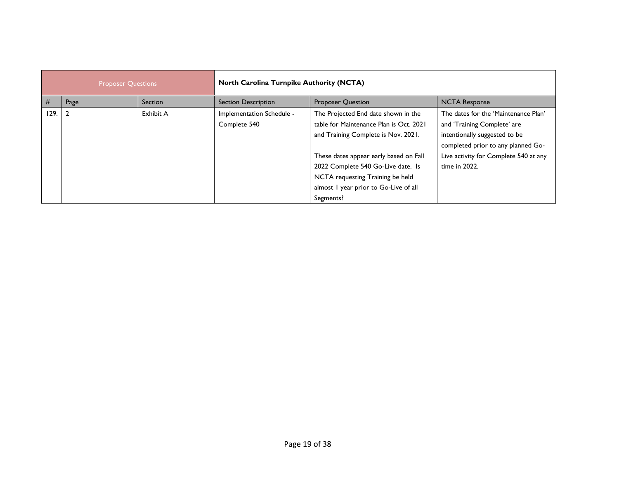| <b>Proposer Questions</b> |      | <b>North Carolina Turnpike Authority (NCTA)</b> |                                           |                                                                                                                                                                                                                                                                                                 |                                                                                                                                                                                                      |
|---------------------------|------|-------------------------------------------------|-------------------------------------------|-------------------------------------------------------------------------------------------------------------------------------------------------------------------------------------------------------------------------------------------------------------------------------------------------|------------------------------------------------------------------------------------------------------------------------------------------------------------------------------------------------------|
| #                         | Page | Section                                         | <b>Section Description</b>                | <b>Proposer Question</b>                                                                                                                                                                                                                                                                        | <b>NCTA Response</b>                                                                                                                                                                                 |
| 129.12                    |      | Exhibit A                                       | Implementation Schedule -<br>Complete 540 | The Projected End date shown in the<br>table for Maintenance Plan is Oct. 2021<br>and Training Complete is Nov. 2021.<br>These dates appear early based on Fall<br>2022 Complete 540 Go-Live date. Is<br>NCTA requesting Training be held<br>almost I year prior to Go-Live of all<br>Segments? | The dates for the 'Maintenance Plan'<br>and 'Training Complete' are<br>intentionally suggested to be<br>completed prior to any planned Go-<br>Live activity for Complete 540 at any<br>time in 2022. |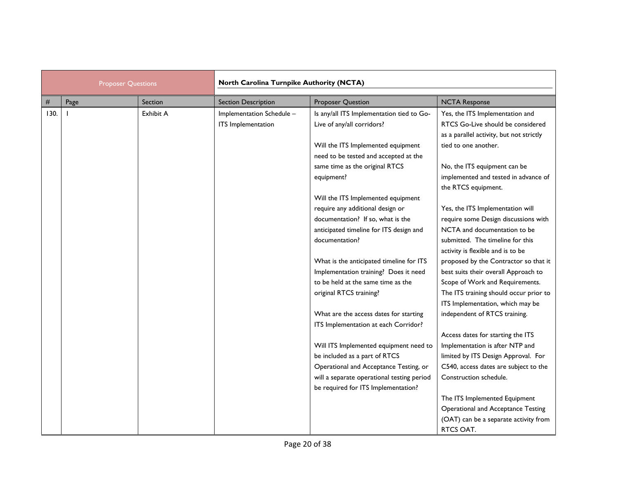| <b>Proposer Questions</b> |      | North Carolina Turnpike Authority (NCTA) |                                                 |                                                                             |                                                                                                                  |
|---------------------------|------|------------------------------------------|-------------------------------------------------|-----------------------------------------------------------------------------|------------------------------------------------------------------------------------------------------------------|
| $\#$                      | Page | Section                                  | <b>Section Description</b>                      | <b>Proposer Question</b>                                                    | <b>NCTA Response</b>                                                                                             |
| 130.                      |      | Exhibit A                                | Implementation Schedule -<br>ITS Implementation | Is any/all ITS Implementation tied to Go-<br>Live of any/all corridors?     | Yes, the ITS Implementation and<br>RTCS Go-Live should be considered<br>as a parallel activity, but not strictly |
|                           |      |                                          |                                                 | Will the ITS Implemented equipment<br>need to be tested and accepted at the | tied to one another.                                                                                             |
|                           |      |                                          |                                                 | same time as the original RTCS                                              | No, the ITS equipment can be                                                                                     |
|                           |      |                                          |                                                 | equipment?                                                                  | implemented and tested in advance of<br>the RTCS equipment.                                                      |
|                           |      |                                          |                                                 | Will the ITS Implemented equipment                                          |                                                                                                                  |
|                           |      |                                          |                                                 | require any additional design or<br>documentation? If so, what is the       | Yes, the ITS Implementation will<br>require some Design discussions with                                         |
|                           |      |                                          |                                                 | anticipated timeline for ITS design and                                     | NCTA and documentation to be                                                                                     |
|                           |      |                                          |                                                 | documentation?                                                              | submitted. The timeline for this<br>activity is flexible and is to be                                            |
|                           |      |                                          |                                                 | What is the anticipated timeline for ITS                                    | proposed by the Contractor so that it                                                                            |
|                           |      |                                          |                                                 | Implementation training? Does it need                                       | best suits their overall Approach to                                                                             |
|                           |      |                                          |                                                 | to be held at the same time as the                                          | Scope of Work and Requirements.                                                                                  |
|                           |      |                                          |                                                 | original RTCS training?                                                     | The ITS training should occur prior to                                                                           |
|                           |      |                                          |                                                 |                                                                             | ITS Implementation, which may be                                                                                 |
|                           |      |                                          |                                                 | What are the access dates for starting                                      | independent of RTCS training.                                                                                    |
|                           |      |                                          |                                                 | ITS Implementation at each Corridor?                                        |                                                                                                                  |
|                           |      |                                          |                                                 |                                                                             | Access dates for starting the ITS                                                                                |
|                           |      |                                          |                                                 | Will ITS Implemented equipment need to                                      | Implementation is after NTP and                                                                                  |
|                           |      |                                          |                                                 | be included as a part of RTCS                                               | limited by ITS Design Approval. For                                                                              |
|                           |      |                                          |                                                 | Operational and Acceptance Testing, or                                      | C540, access dates are subject to the                                                                            |
|                           |      |                                          |                                                 | will a separate operational testing period                                  | Construction schedule.                                                                                           |
|                           |      |                                          |                                                 | be required for ITS Implementation?                                         |                                                                                                                  |
|                           |      |                                          |                                                 |                                                                             | The ITS Implemented Equipment                                                                                    |
|                           |      |                                          |                                                 |                                                                             | <b>Operational and Acceptance Testing</b>                                                                        |
|                           |      |                                          |                                                 |                                                                             | (OAT) can be a separate activity from                                                                            |
|                           |      |                                          |                                                 |                                                                             | RTCS OAT.                                                                                                        |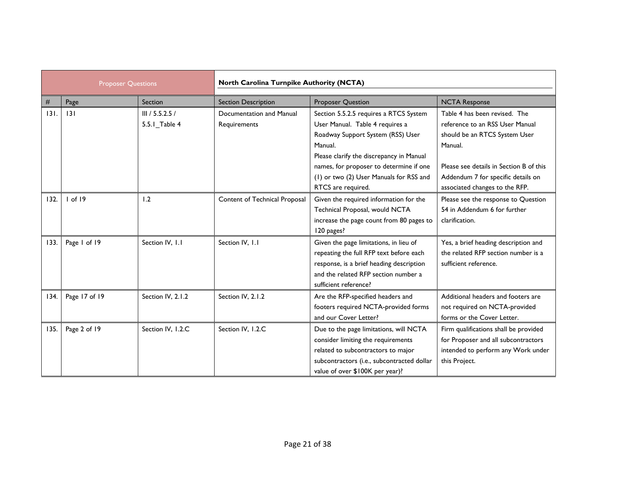| <b>Proposer Questions</b> |               | North Carolina Turnpike Authority (NCTA) |                                          |                                                                                                                                                                                                                                                                                   |                                                                                                                                                                                                                                 |
|---------------------------|---------------|------------------------------------------|------------------------------------------|-----------------------------------------------------------------------------------------------------------------------------------------------------------------------------------------------------------------------------------------------------------------------------------|---------------------------------------------------------------------------------------------------------------------------------------------------------------------------------------------------------------------------------|
| #                         | Page          | Section                                  | <b>Section Description</b>               | Proposer Question                                                                                                                                                                                                                                                                 | <b>NCTA Response</b>                                                                                                                                                                                                            |
| 131.                      | 3             | III / 5.5.2.5 /<br>5.5.1_Table 4         | Documentation and Manual<br>Requirements | Section 5.5.2.5 requires a RTCS System<br>User Manual. Table 4 requires a<br>Roadway Support System (RSS) User<br>Manual.<br>Please clarify the discrepancy in Manual<br>names, for proposer to determine if one<br>(1) or two (2) User Manuals for RSS and<br>RTCS are required. | Table 4 has been revised. The<br>reference to an RSS User Manual<br>should be an RTCS System User<br>Manual.<br>Please see details in Section B of this<br>Addendum 7 for specific details on<br>associated changes to the RFP. |
| 132.                      | $I$ of $I9$   | 1.2                                      | Content of Technical Proposal            | Given the required information for the<br>Technical Proposal, would NCTA<br>increase the page count from 80 pages to<br>120 pages?                                                                                                                                                | Please see the response to Question<br>54 in Addendum 6 for further<br>clarification.                                                                                                                                           |
| 133.                      | Page 1 of 19  | Section IV, 1.1                          | Section IV, 1.1                          | Given the page limitations, in lieu of<br>repeating the full RFP text before each<br>response, is a brief heading description<br>and the related RFP section number a<br>sufficient reference?                                                                                    | Yes, a brief heading description and<br>the related RFP section number is a<br>sufficient reference.                                                                                                                            |
| 134.                      | Page 17 of 19 | Section IV, 2.1.2                        | Section IV, 2.1.2                        | Are the RFP-specified headers and<br>footers required NCTA-provided forms<br>and our Cover Letter?                                                                                                                                                                                | Additional headers and footers are<br>not required on NCTA-provided<br>forms or the Cover Letter.                                                                                                                               |
| 135.                      | Page 2 of 19  | Section IV, I.2.C                        | Section IV, I.2.C                        | Due to the page limitations, will NCTA<br>consider limiting the requirements<br>related to subcontractors to major<br>subcontractors (i.e., subcontracted dollar<br>value of over \$100K per year)?                                                                               | Firm qualifications shall be provided<br>for Proposer and all subcontractors<br>intended to perform any Work under<br>this Project.                                                                                             |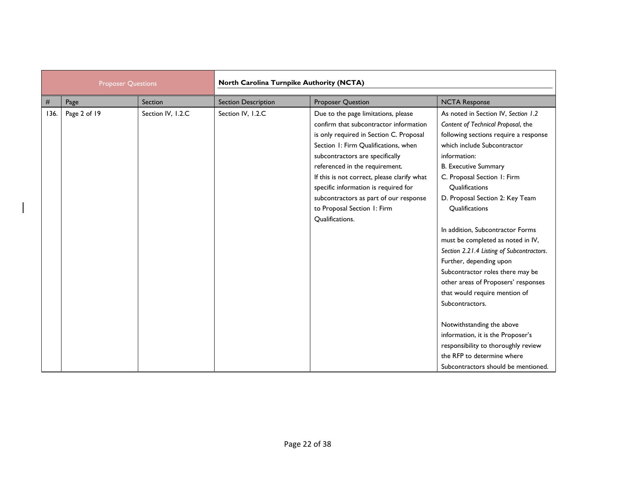| <b>Proposer Questions</b> |              | North Carolina Turnpike Authority (NCTA) |                            |                                                                                                                                                                                                                                                                                                                                                                                                                          |                                                                                                                                                                                                                                                                                                                                                                                                                                                                                                                                                                                                                                                                                                                               |
|---------------------------|--------------|------------------------------------------|----------------------------|--------------------------------------------------------------------------------------------------------------------------------------------------------------------------------------------------------------------------------------------------------------------------------------------------------------------------------------------------------------------------------------------------------------------------|-------------------------------------------------------------------------------------------------------------------------------------------------------------------------------------------------------------------------------------------------------------------------------------------------------------------------------------------------------------------------------------------------------------------------------------------------------------------------------------------------------------------------------------------------------------------------------------------------------------------------------------------------------------------------------------------------------------------------------|
| #                         | Page         | Section                                  | <b>Section Description</b> | <b>Proposer Question</b>                                                                                                                                                                                                                                                                                                                                                                                                 | <b>NCTA Response</b>                                                                                                                                                                                                                                                                                                                                                                                                                                                                                                                                                                                                                                                                                                          |
| 136.                      | Page 2 of 19 | Section IV, I.2.C                        | Section IV, I.2.C          | Due to the page limitations, please<br>confirm that subcontractor information<br>is only required in Section C. Proposal<br>Section 1: Firm Qualifications, when<br>subcontractors are specifically<br>referenced in the requirement.<br>If this is not correct, please clarify what<br>specific information is required for<br>subcontractors as part of our response<br>to Proposal Section 1: Firm<br>Qualifications. | As noted in Section IV, Section 1.2<br>Content of Technical Proposal, the<br>following sections require a response<br>which include Subcontractor<br>information:<br><b>B.</b> Executive Summary<br>C. Proposal Section 1: Firm<br>Qualifications<br>D. Proposal Section 2: Key Team<br>Qualifications<br>In addition, Subcontractor Forms<br>must be completed as noted in IV,<br>Section 2.21.4 Listing of Subcontractors.<br>Further, depending upon<br>Subcontractor roles there may be<br>other areas of Proposers' responses<br>that would require mention of<br>Subcontractors.<br>Notwithstanding the above<br>information, it is the Proposer's<br>responsibility to thoroughly review<br>the RFP to determine where |
|                           |              |                                          |                            |                                                                                                                                                                                                                                                                                                                                                                                                                          | Subcontractors should be mentioned.                                                                                                                                                                                                                                                                                                                                                                                                                                                                                                                                                                                                                                                                                           |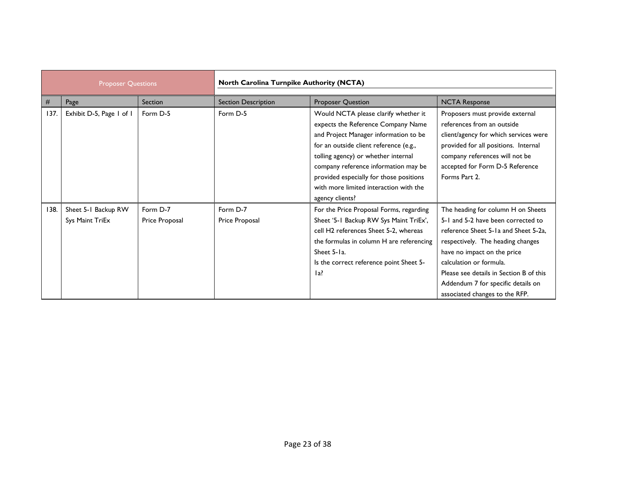| <b>Proposer Questions</b> |                                        | North Carolina Turnpike Authority (NCTA) |                            |                                                                                                                                                                                                                                                                                                                                                      |                                                                                                                                                                                                                                                                                                                                    |
|---------------------------|----------------------------------------|------------------------------------------|----------------------------|------------------------------------------------------------------------------------------------------------------------------------------------------------------------------------------------------------------------------------------------------------------------------------------------------------------------------------------------------|------------------------------------------------------------------------------------------------------------------------------------------------------------------------------------------------------------------------------------------------------------------------------------------------------------------------------------|
| #                         | Page                                   | Section                                  | <b>Section Description</b> | Proposer Question                                                                                                                                                                                                                                                                                                                                    | <b>NCTA Response</b>                                                                                                                                                                                                                                                                                                               |
| 137.                      | Exhibit D-5, Page 1 of 1               | Form D-5                                 | Form D-5                   | Would NCTA please clarify whether it<br>expects the Reference Company Name<br>and Project Manager information to be<br>for an outside client reference (e.g.,<br>tolling agency) or whether internal<br>company reference information may be<br>provided especially for those positions<br>with more limited interaction with the<br>agency clients? | Proposers must provide external<br>references from an outside<br>client/agency for which services were<br>provided for all positions. Internal<br>company references will not be<br>accepted for Form D-5 Reference<br>Forms Part 2.                                                                                               |
| 138.                      | Sheet 5-1 Backup RW<br>Sys Maint TriEx | Form D-7<br>Price Proposal               | Form D-7<br>Price Proposal | For the Price Proposal Forms, regarding<br>Sheet '5-1 Backup RW Sys Maint TriEx',<br>cell H2 references Sheet 5-2, whereas<br>the formulas in column H are referencing<br>Sheet 5-1a.<br>Is the correct reference point Sheet 5-<br>$1a$ ?                                                                                                           | The heading for column H on Sheets<br>5-1 and 5-2 have been corrected to<br>reference Sheet 5-1a and Sheet 5-2a,<br>respectively. The heading changes<br>have no impact on the price<br>calculation or formula.<br>Please see details in Section B of this<br>Addendum 7 for specific details on<br>associated changes to the RFP. |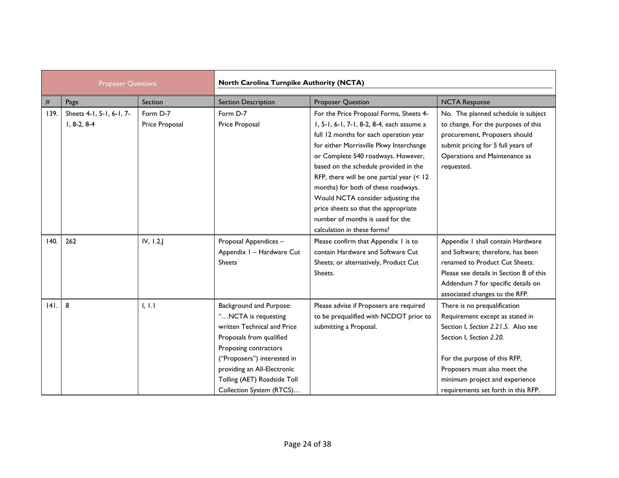| <b>Proposer Questions</b> |                                           | North Carolina Turnpike Authority (NCTA) |                                                                                                                                                                                                                                                             |                                                                                                                                                                                                                                                                                                                                                                                                                                                                                              |                                                                                                                                                                                                                                                                             |  |
|---------------------------|-------------------------------------------|------------------------------------------|-------------------------------------------------------------------------------------------------------------------------------------------------------------------------------------------------------------------------------------------------------------|----------------------------------------------------------------------------------------------------------------------------------------------------------------------------------------------------------------------------------------------------------------------------------------------------------------------------------------------------------------------------------------------------------------------------------------------------------------------------------------------|-----------------------------------------------------------------------------------------------------------------------------------------------------------------------------------------------------------------------------------------------------------------------------|--|
| $\#$                      | Page                                      | Section                                  | <b>Section Description</b>                                                                                                                                                                                                                                  | <b>Proposer Question</b>                                                                                                                                                                                                                                                                                                                                                                                                                                                                     | <b>NCTA Response</b>                                                                                                                                                                                                                                                        |  |
| 139.                      | Sheets 4-1, 5-1, 6-1, 7-<br>$1, 8-2, 8-4$ | Form D-7<br>Price Proposal               | Form D-7<br>Price Proposal                                                                                                                                                                                                                                  | For the Price Proposal Forms, Sheets 4-<br>I, 5-1, 6-1, 7-1, 8-2, 8-4, each assume a<br>full 12 months for each operation year<br>for either Morrisville Pkwy Interchange<br>or Complete 540 roadways. However,<br>based on the schedule provided in the<br>RFP, there will be one partial year (< 12<br>months) for both of these roadways.<br>Would NCTA consider adjusting the<br>price sheets so that the appropriate<br>number of months is used for the<br>calculation in these forms? | No. The planned schedule is subject<br>to change. For the purposes of this<br>procurement, Proposers should<br>submit pricing for 5 full years of<br>Operations and Maintenance as<br>requested.                                                                            |  |
| 140.                      | 262                                       | IV, 1.2.                                 | Proposal Appendices -<br>Appendix I - Hardware Cut<br><b>Sheets</b>                                                                                                                                                                                         | Please confirm that Appendix I is to<br>contain Hardware and Software Cut<br>Sheets; or alternatively, Product Cut<br>Sheets.                                                                                                                                                                                                                                                                                                                                                                | Appendix I shall contain Hardware<br>and Software; therefore, has been<br>renamed to Product Cut Sheets.<br>Please see details in Section B of this<br>Addendum 7 for specific details on<br>associated changes to the RFP.                                                 |  |
| $ 4 $ .                   | 8                                         | 1, 1.1                                   | Background and Purpose:<br>"NCTA is requesting<br>written Technical and Price<br>Proposals from qualified<br>Proposing contractors<br>("Proposers") interested in<br>providing an All-Electronic<br>Tolling (AET) Roadside Toll<br>Collection System (RTCS) | Please advise if Proposers are required<br>to be prequalified with NCDOT prior to<br>submitting a Proposal.                                                                                                                                                                                                                                                                                                                                                                                  | There is no prequalification<br>Requirement except as stated in<br>Section I, Section 2.21.5. Also see<br>Section I, Section 2.20.<br>For the purpose of this RFP,<br>Proposers must also meet the<br>minimum project and experience<br>requirements set forth in this RFP. |  |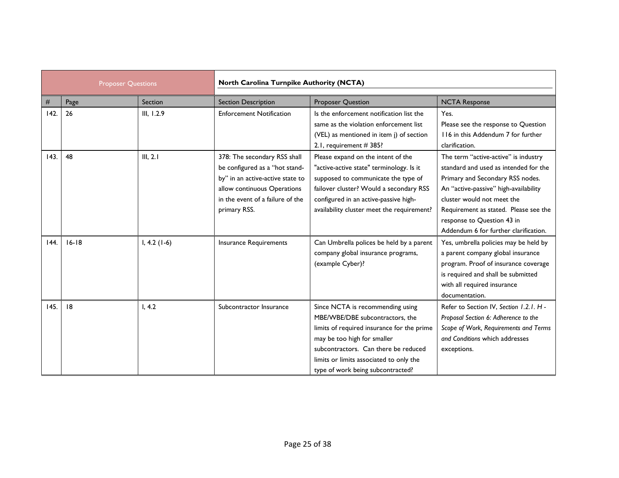| <b>Proposer Questions</b> |           | North Carolina Turnpike Authority (NCTA) |                                                                                                                                                                                       |                                                                                                                                                                                                                                                                          |                                                                                                                                                                                                                                                                                                          |
|---------------------------|-----------|------------------------------------------|---------------------------------------------------------------------------------------------------------------------------------------------------------------------------------------|--------------------------------------------------------------------------------------------------------------------------------------------------------------------------------------------------------------------------------------------------------------------------|----------------------------------------------------------------------------------------------------------------------------------------------------------------------------------------------------------------------------------------------------------------------------------------------------------|
| #                         | Page      | Section                                  | <b>Section Description</b>                                                                                                                                                            | Proposer Question                                                                                                                                                                                                                                                        | <b>NCTA Response</b>                                                                                                                                                                                                                                                                                     |
| 142.                      | 26        | III, 1.2.9                               | <b>Enforcement Notification</b>                                                                                                                                                       | Is the enforcement notification list the<br>same as the violation enforcement list<br>(VEL) as mentioned in item j) of section<br>2.1, requirement #385?                                                                                                                 | Yes.<br>Please see the response to Question<br>116 in this Addendum 7 for further<br>clarification.                                                                                                                                                                                                      |
| 143.                      | 48        | III, 2.1                                 | 378: The secondary RSS shall<br>be configured as a "hot stand-<br>by" in an active-active state to<br>allow continuous Operations<br>in the event of a failure of the<br>primary RSS. | Please expand on the intent of the<br>"active-active state" terminology. Is it<br>supposed to communicate the type of<br>failover cluster? Would a secondary RSS<br>configured in an active-passive high-<br>availability cluster meet the requirement?                  | The term "active-active" is industry<br>standard and used as intended for the<br>Primary and Secondary RSS nodes.<br>An "active-passive" high-availability<br>cluster would not meet the<br>Requirement as stated. Please see the<br>response to Question 43 in<br>Addendum 6 for further clarification. |
| 144.                      | $16 - 18$ | $I, 4.2 (1-6)$                           | <b>Insurance Requirements</b>                                                                                                                                                         | Can Umbrella polices be held by a parent<br>company global insurance programs,<br>(example Cyber)?                                                                                                                                                                       | Yes, umbrella policies may be held by<br>a parent company global insurance<br>program. Proof of insurance coverage<br>is required and shall be submitted<br>with all required insurance<br>documentation.                                                                                                |
| 145.                      | 8         | I, 4.2                                   | Subcontractor Insurance                                                                                                                                                               | Since NCTA is recommending using<br>MBE/WBE/DBE subcontractors, the<br>limits of required insurance for the prime<br>may be too high for smaller<br>subcontractors. Can there be reduced<br>limits or limits associated to only the<br>type of work being subcontracted? | Refer to Section IV, Section 1.2.1. H -<br>Proposal Section 6: Adherence to the<br>Scope of Work, Requirements and Terms<br>and Conditions which addresses<br>exceptions.                                                                                                                                |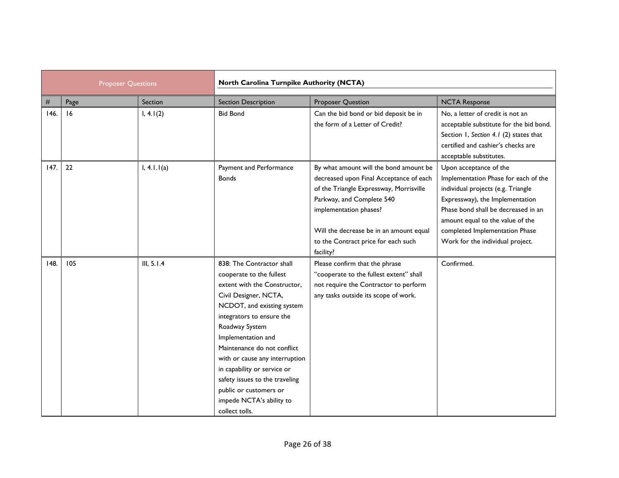|      | <b>Proposer Questions</b> |             | North Carolina Turnpike Authority (NCTA)                                                                                                                                                                                                                                                                                                                                                                                    |                                                                                                                                                                                                                                                                                    |                                                                                                                                                                                                                                                                                          |
|------|---------------------------|-------------|-----------------------------------------------------------------------------------------------------------------------------------------------------------------------------------------------------------------------------------------------------------------------------------------------------------------------------------------------------------------------------------------------------------------------------|------------------------------------------------------------------------------------------------------------------------------------------------------------------------------------------------------------------------------------------------------------------------------------|------------------------------------------------------------------------------------------------------------------------------------------------------------------------------------------------------------------------------------------------------------------------------------------|
| #    | Page                      | Section     | <b>Section Description</b>                                                                                                                                                                                                                                                                                                                                                                                                  | <b>Proposer Question</b>                                                                                                                                                                                                                                                           | <b>NCTA Response</b>                                                                                                                                                                                                                                                                     |
| 146. | 16                        | I, 4.1(2)   | <b>Bid Bond</b>                                                                                                                                                                                                                                                                                                                                                                                                             | Can the bid bond or bid deposit be in<br>the form of a Letter of Credit?                                                                                                                                                                                                           | No, a letter of credit is not an<br>acceptable substitute for the bid bond.<br>Section 1, Section 4.1 (2) states that<br>certified and cashier's checks are<br>acceptable substitutes.                                                                                                   |
| 147. | 22                        | I, 4.1.1(a) | Payment and Performance<br><b>Bonds</b>                                                                                                                                                                                                                                                                                                                                                                                     | By what amount will the bond amount be<br>decreased upon Final Acceptance of each<br>of the Triangle Expressway, Morrisville<br>Parkway, and Complete 540<br>implementation phases?<br>Will the decrease be in an amount equal<br>to the Contract price for each such<br>facility? | Upon acceptance of the<br>Implementation Phase for each of the<br>individual projects (e.g. Triangle<br>Expressway), the Implementation<br>Phase bond shall be decreased in an<br>amount equal to the value of the<br>completed Implementation Phase<br>Work for the individual project. |
| 148. | 105                       | III, 5.1.4  | 838: The Contractor shall<br>cooperate to the fullest<br>extent with the Constructor,<br>Civil Designer, NCTA,<br>NCDOT, and existing system<br>integrators to ensure the<br>Roadway System<br>Implementation and<br>Maintenance do not conflict<br>with or cause any interruption<br>in capability or service or<br>safety issues to the traveling<br>public or customers or<br>impede NCTA's ability to<br>collect tolls. | Please confirm that the phrase<br>"cooperate to the fullest extent" shall<br>not require the Contractor to perform<br>any tasks outside its scope of work.                                                                                                                         | Confirmed.                                                                                                                                                                                                                                                                               |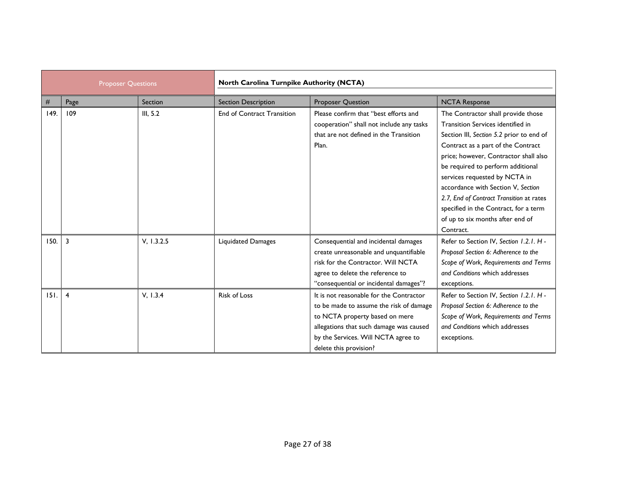| <b>Proposer Questions</b> |                | North Carolina Turnpike Authority (NCTA) |                                   |                                                                                                                                                                                                                                  |                                                                                                                                                                                                                                                                                                                                                                                                                                                      |
|---------------------------|----------------|------------------------------------------|-----------------------------------|----------------------------------------------------------------------------------------------------------------------------------------------------------------------------------------------------------------------------------|------------------------------------------------------------------------------------------------------------------------------------------------------------------------------------------------------------------------------------------------------------------------------------------------------------------------------------------------------------------------------------------------------------------------------------------------------|
| #                         | Page           | Section                                  | <b>Section Description</b>        | <b>Proposer Question</b>                                                                                                                                                                                                         | <b>NCTA Response</b>                                                                                                                                                                                                                                                                                                                                                                                                                                 |
| 149.                      | 109            | III, 5.2                                 | <b>End of Contract Transition</b> | Please confirm that "best efforts and<br>cooperation" shall not include any tasks<br>that are not defined in the Transition<br>Plan.                                                                                             | The Contractor shall provide those<br>Transition Services identified in<br>Section III, Section 5.2 prior to end of<br>Contract as a part of the Contract<br>price; however, Contractor shall also<br>be required to perform additional<br>services requested by NCTA in<br>accordance with Section V, Section<br>2.7, End of Contract Transition at rates<br>specified in the Contract, for a term<br>of up to six months after end of<br>Contract. |
| 150.                      | $\overline{3}$ | V, 1.3.2.5                               | Liquidated Damages                | Consequential and incidental damages<br>create unreasonable and unquantifiable<br>risk for the Contractor. Will NCTA<br>agree to delete the reference to<br>"consequential or incidental damages"?                               | Refer to Section IV, Section 1.2.1. H -<br>Proposal Section 6: Adherence to the<br>Scope of Work, Requirements and Terms<br>and Conditions which addresses<br>exceptions.                                                                                                                                                                                                                                                                            |
| 151.                      | $\overline{4}$ | V, 1.3.4                                 | <b>Risk of Loss</b>               | It is not reasonable for the Contractor<br>to be made to assume the risk of damage<br>to NCTA property based on mere<br>allegations that such damage was caused<br>by the Services. Will NCTA agree to<br>delete this provision? | Refer to Section IV, Section 1.2.1. H -<br>Proposal Section 6: Adherence to the<br>Scope of Work, Requirements and Terms<br>and Conditions which addresses<br>exceptions.                                                                                                                                                                                                                                                                            |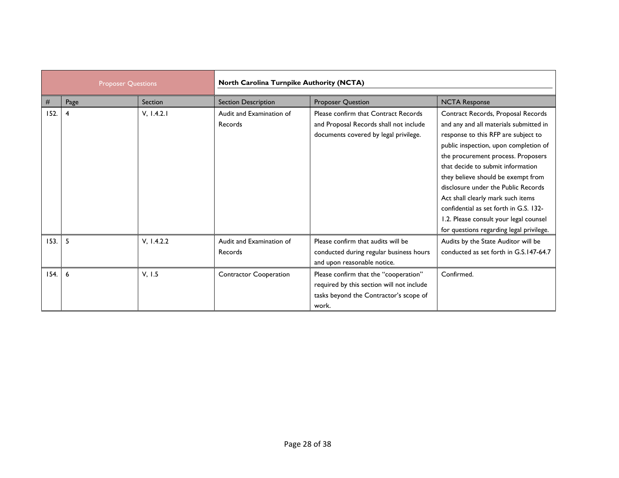| <b>Proposer Questions</b> |      |            | North Carolina Turnpike Authority (NCTA) |                                                                                                                                       |                                                                                                                                                                                                                                                                                                                                                                                                                                                                                           |  |
|---------------------------|------|------------|------------------------------------------|---------------------------------------------------------------------------------------------------------------------------------------|-------------------------------------------------------------------------------------------------------------------------------------------------------------------------------------------------------------------------------------------------------------------------------------------------------------------------------------------------------------------------------------------------------------------------------------------------------------------------------------------|--|
| #                         | Page | Section    | <b>Section Description</b>               | <b>Proposer Question</b>                                                                                                              | <b>NCTA Response</b>                                                                                                                                                                                                                                                                                                                                                                                                                                                                      |  |
| 152.                      | 4    | V, 1.4.2.1 | Audit and Examination of<br>Records      | Please confirm that Contract Records<br>and Proposal Records shall not include<br>documents covered by legal privilege.               | Contract Records, Proposal Records<br>and any and all materials submitted in<br>response to this RFP are subject to<br>public inspection, upon completion of<br>the procurement process. Proposers<br>that decide to submit information<br>they believe should be exempt from<br>disclosure under the Public Records<br>Act shall clearly mark such items<br>confidential as set forth in G.S. 132-<br>1.2. Please consult your legal counsel<br>for questions regarding legal privilege. |  |
| 153.                      | 5    | V, 1.4.2.2 | Audit and Examination of<br>Records      | Please confirm that audits will be<br>conducted during regular business hours<br>and upon reasonable notice.                          | Audits by the State Auditor will be<br>conducted as set forth in G.S.147-64.7                                                                                                                                                                                                                                                                                                                                                                                                             |  |
| 154.                      | 6    | V, 1.5     | <b>Contractor Cooperation</b>            | Please confirm that the "cooperation"<br>required by this section will not include<br>tasks beyond the Contractor's scope of<br>work. | Confirmed.                                                                                                                                                                                                                                                                                                                                                                                                                                                                                |  |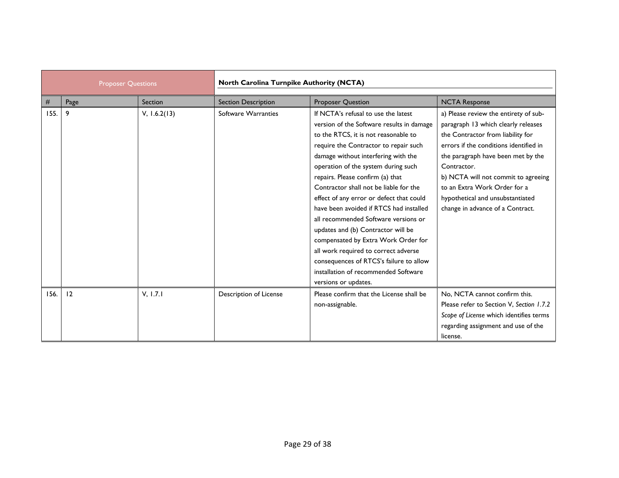| <b>Proposer Questions</b> |      | North Carolina Turnpike Authority (NCTA) |                            |                                                                                                                                                                                                                                                                                                                                                                                                                                                                                                                                                                                                                                                                      |                                                                                                                                                                                                                                                                                                                                                                 |
|---------------------------|------|------------------------------------------|----------------------------|----------------------------------------------------------------------------------------------------------------------------------------------------------------------------------------------------------------------------------------------------------------------------------------------------------------------------------------------------------------------------------------------------------------------------------------------------------------------------------------------------------------------------------------------------------------------------------------------------------------------------------------------------------------------|-----------------------------------------------------------------------------------------------------------------------------------------------------------------------------------------------------------------------------------------------------------------------------------------------------------------------------------------------------------------|
| #                         | Page | Section                                  | <b>Section Description</b> | <b>Proposer Question</b>                                                                                                                                                                                                                                                                                                                                                                                                                                                                                                                                                                                                                                             | <b>NCTA Response</b>                                                                                                                                                                                                                                                                                                                                            |
| 155.                      | 9    | V, 1.6.2(13)                             | Software Warranties        | If NCTA's refusal to use the latest<br>version of the Software results in damage<br>to the RTCS, it is not reasonable to<br>require the Contractor to repair such<br>damage without interfering with the<br>operation of the system during such<br>repairs. Please confirm (a) that<br>Contractor shall not be liable for the<br>effect of any error or defect that could<br>have been avoided if RTCS had installed<br>all recommended Software versions or<br>updates and (b) Contractor will be<br>compensated by Extra Work Order for<br>all work required to correct adverse<br>consequences of RTCS's failure to allow<br>installation of recommended Software | a) Please review the entirety of sub-<br>paragraph 13 which clearly releases<br>the Contractor from liability for<br>errors if the conditions identified in<br>the paragraph have been met by the<br>Contractor.<br>b) NCTA will not commit to agreeing<br>to an Extra Work Order for a<br>hypothetical and unsubstantiated<br>change in advance of a Contract. |
| 156.                      | 12   | V, 1.7.1                                 | Description of License     | versions or updates.<br>Please confirm that the License shall be<br>non-assignable.                                                                                                                                                                                                                                                                                                                                                                                                                                                                                                                                                                                  | No, NCTA cannot confirm this.<br>Please refer to Section V, Section 1.7.2<br>Scope of License which identifies terms<br>regarding assignment and use of the<br>license.                                                                                                                                                                                         |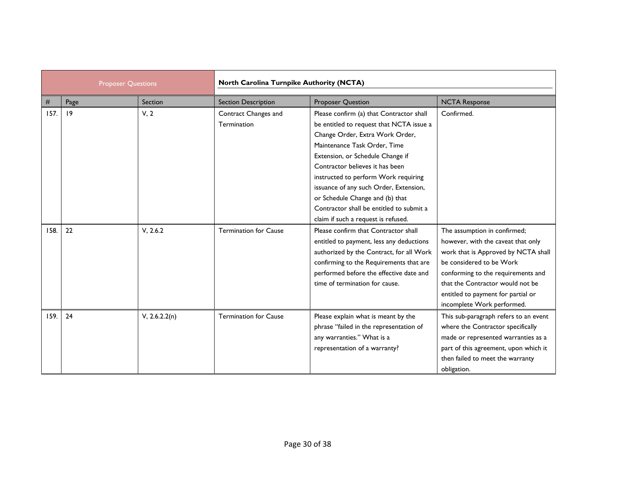| <b>Proposer Questions</b> |      | North Carolina Turnpike Authority (NCTA) |                                     |                                                                                                                                                                                                                                                                                                                                                                                                                                        |                                                                                                                                                                                                                                                                                     |
|---------------------------|------|------------------------------------------|-------------------------------------|----------------------------------------------------------------------------------------------------------------------------------------------------------------------------------------------------------------------------------------------------------------------------------------------------------------------------------------------------------------------------------------------------------------------------------------|-------------------------------------------------------------------------------------------------------------------------------------------------------------------------------------------------------------------------------------------------------------------------------------|
| #                         | Page | Section                                  | <b>Section Description</b>          | <b>Proposer Question</b>                                                                                                                                                                                                                                                                                                                                                                                                               | <b>NCTA Response</b>                                                                                                                                                                                                                                                                |
| 157.                      | 19   | V, 2                                     | Contract Changes and<br>Termination | Please confirm (a) that Contractor shall<br>be entitled to request that NCTA issue a<br>Change Order, Extra Work Order,<br>Maintenance Task Order, Time<br>Extension, or Schedule Change if<br>Contractor believes it has been<br>instructed to perform Work requiring<br>issuance of any such Order, Extension,<br>or Schedule Change and (b) that<br>Contractor shall be entitled to submit a<br>claim if such a request is refused. | Confirmed.                                                                                                                                                                                                                                                                          |
| 158.                      | 22   | V, 2.6.2                                 | <b>Termination for Cause</b>        | Please confirm that Contractor shall<br>entitled to payment, less any deductions<br>authorized by the Contract, for all Work<br>confirming to the Requirements that are<br>performed before the effective date and<br>time of termination for cause.                                                                                                                                                                                   | The assumption in confirmed;<br>however, with the caveat that only<br>work that is Approved by NCTA shall<br>be considered to be Work<br>conforming to the requirements and<br>that the Contractor would not be<br>entitled to payment for partial or<br>incomplete Work performed. |
| 159.                      | 24   | V, 2.6.2.2(n)                            | <b>Termination for Cause</b>        | Please explain what is meant by the<br>phrase "failed in the representation of<br>any warranties." What is a<br>representation of a warranty?                                                                                                                                                                                                                                                                                          | This sub-paragraph refers to an event<br>where the Contractor specifically<br>made or represented warranties as a<br>part of this agreement, upon which it<br>then failed to meet the warranty<br>obligation.                                                                       |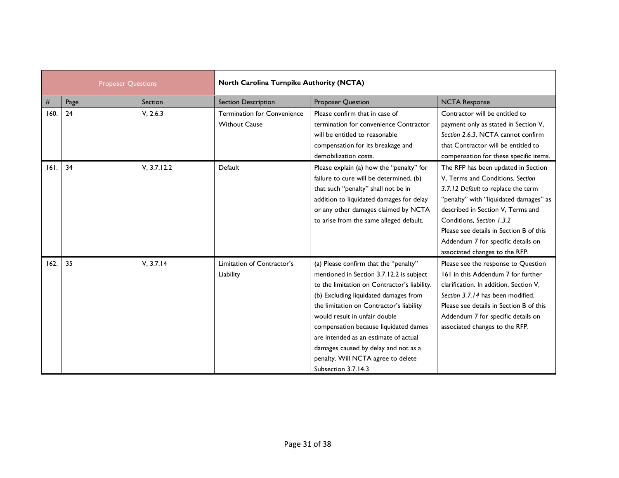| <b>Proposer Questions</b> |      | North Carolina Turnpike Authority (NCTA) |                                                            |                                                                                                                                                                                                                                                                                                                                                                                                                                                |                                                                                                                                                                                                                                                                                                                                              |
|---------------------------|------|------------------------------------------|------------------------------------------------------------|------------------------------------------------------------------------------------------------------------------------------------------------------------------------------------------------------------------------------------------------------------------------------------------------------------------------------------------------------------------------------------------------------------------------------------------------|----------------------------------------------------------------------------------------------------------------------------------------------------------------------------------------------------------------------------------------------------------------------------------------------------------------------------------------------|
| #                         | Page | Section                                  | <b>Section Description</b>                                 | <b>Proposer Question</b>                                                                                                                                                                                                                                                                                                                                                                                                                       | <b>NCTA Response</b>                                                                                                                                                                                                                                                                                                                         |
| 160.                      | 24   | V, 2.6.3                                 | <b>Termination for Convenience</b><br><b>Without Cause</b> | Please confirm that in case of<br>termination for convenience Contractor<br>will be entitled to reasonable<br>compensation for its breakage and<br>demobilization costs.                                                                                                                                                                                                                                                                       | Contractor will be entitled to<br>payment only as stated in Section V,<br>Section 2.6.3. NCTA cannot confirm<br>that Contractor will be entitled to<br>compensation for these specific items.                                                                                                                                                |
| 161.                      | 34   | V, 3.7.12.2                              | Default                                                    | Please explain (a) how the "penalty" for<br>failure to cure will be determined, (b)<br>that such "penalty" shall not be in<br>addition to liquidated damages for delay<br>or any other damages claimed by NCTA<br>to arise from the same alleged default.                                                                                                                                                                                      | The RFP has been updated in Section<br>V, Terms and Conditions, Section<br>3.7.12 Default to replace the term<br>"penalty" with "liquidated damages" as<br>described in Section V, Terms and<br>Conditions. Section 1.3.2<br>Please see details in Section B of this<br>Addendum 7 for specific details on<br>associated changes to the RFP. |
| 162.                      | 35   | V, 3.7.14                                | Limitation of Contractor's<br>Liability                    | (a) Please confirm that the "penalty"<br>mentioned in Section 3.7.12.2 is subject<br>to the limitation on Contractor's liability.<br>(b) Excluding liquidated damages from<br>the limitation on Contractor's liability<br>would result in unfair double<br>compensation because liquidated dames<br>are intended as an estimate of actual<br>damages caused by delay and not as a<br>penalty. Will NCTA agree to delete<br>Subsection 3.7.14.3 | Please see the response to Question<br>161 in this Addendum 7 for further<br>clarification. In addition, Section V,<br>Section 3.7.14 has been modified.<br>Please see details in Section B of this<br>Addendum 7 for specific details on<br>associated changes to the RFP.                                                                  |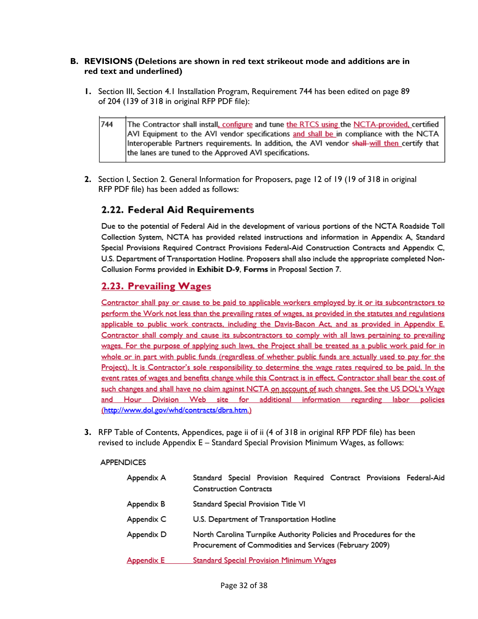#### **B. REVISIONS (Deletions are shown in red text strikeout mode and additions are in red text and underlined)**

**1.** Section III, Section 4.1 Installation Program, Requirement 744 has been edited on page 89 of 204 (139 of 318 in original RFP PDF file):

744 The Contractor shall install, configure and tune the RTCS using the NCTA-provided, certified AVI Equipment to the AVI vendor specifications and shall be in compliance with the NCTA Interoperable Partners requirements. In addition, the AVI vendor shall-will then certify that the lanes are tuned to the Approved AVI specifications.

**2.** Section I, Section 2. General Information for Proposers, page 12 of 19 (19 of 318 in original RFP PDF file) has been added as follows:

## 2.22. Federal Aid Requirements

Due to the potential of Federal Aid in the development of various portions of the NCTA Roadside Toll Collection System, NCTA has provided related instructions and information in Appendix A, Standard Special Provisions Required Contract Provisions Federal-Aid Construction Contracts and Appendix C, U.S. Department of Transportation Hotline. Proposers shall also include the appropriate completed Non-Collusion Forms provided in Exhibit D-9, Forms in Proposal Section 7.

## 2.23. Prevailing Wages

Contractor shall pay or cause to be paid to applicable workers employed by it or its subcontractors to perform the Work not less than the prevailing rates of wages, as provided in the statutes and regulations applicable to public work contracts, including the Davis-Bacon Act, and as provided in Appendix E. Contractor shall comply and cause its subcontractors to comply with all laws pertaining to prevailing wages. For the purpose of applying such laws, the Project shall be treated as a public work paid for in whole or in part with public funds (regardless of whether public funds are actually used to pay for the Project). It is Contractor's sole responsibility to determine the wage rates required to be paid. In the event rates of wages and benefits change while this Contract is in effect, Contractor shall bear the cost of such changes and shall have no claim against NCTA on account of such changes. See the US DOL's Wage and Hour Division Web site for additional information regarding labor policies (http://www.dol.gov/whd/contracts/dbra.htm.)

**3.** RFP Table of Contents, Appendices, page ii of ii (4 of 318 in original RFP PDF file) has been revised to include Appendix E – Standard Special Provision Minimum Wages, as follows:

#### **APPENDICES**

| Appendix A | Standard Special Provision Required Contract Provisions Federal-Aid<br><b>Construction Contracts</b>                         |
|------------|------------------------------------------------------------------------------------------------------------------------------|
| Appendix B | Standard Special Provision Title VI                                                                                          |
| Appendix C | U.S. Department of Transportation Hotline                                                                                    |
| Appendix D | North Carolina Turnpike Authority Policies and Procedures for the<br>Procurement of Commodities and Services (February 2009) |
| Appendix E | <b>Standard Special Provision Minimum Wages</b>                                                                              |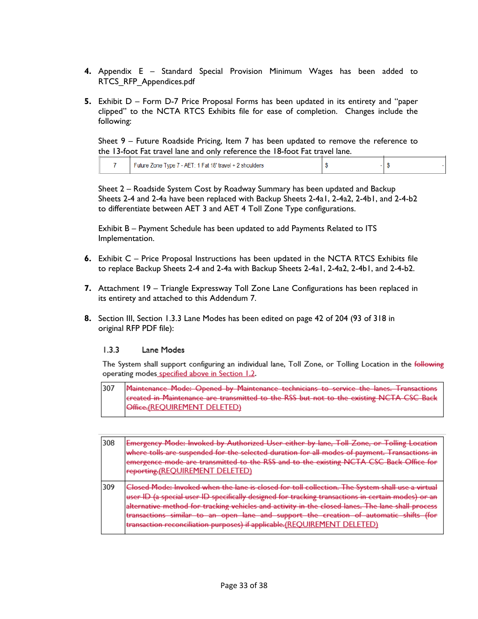- **4.** Appendix E Standard Special Provision Minimum Wages has been added to RTCS\_RFP\_Appendices.pdf
- **5.** Exhibit D Form D-7 Price Proposal Forms has been updated in its entirety and "paper clipped" to the NCTA RTCS Exhibits file for ease of completion. Changes include the following:

Sheet 9 – Future Roadside Pricing, Item 7 has been updated to remove the reference to the 13-foot Fat travel lane and only reference the 18-foot Fat travel lane.

|  | -uture Zone Type / - AET:<br>enoulders<br>- 21 |  |  |
|--|------------------------------------------------|--|--|
|--|------------------------------------------------|--|--|

Sheet 2 – Roadside System Cost by Roadway Summary has been updated and Backup Sheets 2-4 and 2-4a have been replaced with Backup Sheets 2-4a1, 2-4a2, 2-4b1, and 2-4-b2 to differentiate between AET 3 and AET 4 Toll Zone Type configurations.

Exhibit B – Payment Schedule has been updated to add Payments Related to ITS Implementation.

- **6.** Exhibit C Price Proposal Instructions has been updated in the NCTA RTCS Exhibits file to replace Backup Sheets 2-4 and 2-4a with Backup Sheets 2-4a1, 2-4a2, 2-4b1, and 2-4-b2.
- **7.** Attachment 19 Triangle Expressway Toll Zone Lane Configurations has been replaced in its entirety and attached to this Addendum 7.
- **8.** Section III, Section 1.3.3 Lane Modes has been edited on page 42 of 204 (93 of 318 in original RFP PDF file):

#### $1.3.3$ Lane Modes

The System shall support configuring an individual lane, Toll Zone, or Tolling Location in the following operating modes specified above in Section 1.2.

Maintenance Mode: Opened by Maintenance technicians to service the lanes. Transactions 307 created in Maintenance are transmitted to the RSS but not to the existing NCTA CSC Back Office.(REQUIREMENT DELETED)

| 308 | Emergency Mode: Invoked by Authorized User either by lane, Toll Zone, or Tolling Location<br>where tolls are suspended for the selected duration for all modes of payment. Transactions in<br>emergence mode are transmitted to the RSS and to the existing NCTA CSC Back Office for<br>reporting.(REQUIREMENT DELETED)                                                                                                                                                    |
|-----|----------------------------------------------------------------------------------------------------------------------------------------------------------------------------------------------------------------------------------------------------------------------------------------------------------------------------------------------------------------------------------------------------------------------------------------------------------------------------|
| 309 | for tall collection. The System sh<br>specifically designed for tracking transactions in certain modes)<br>HEAP II ). La spacial Heap ID<br><del>usar</del><br><del>emeany acsigned for</del><br>cking vobicles and activity in the closed<br>lano shall prosess<br><del>acking venities and activity in the</del><br>sutomatic chifts<br>similar to an open lane and support the creation of<br>transaction reconciliation purposes) if applicable.(REOUIREME<br>)ELETED) |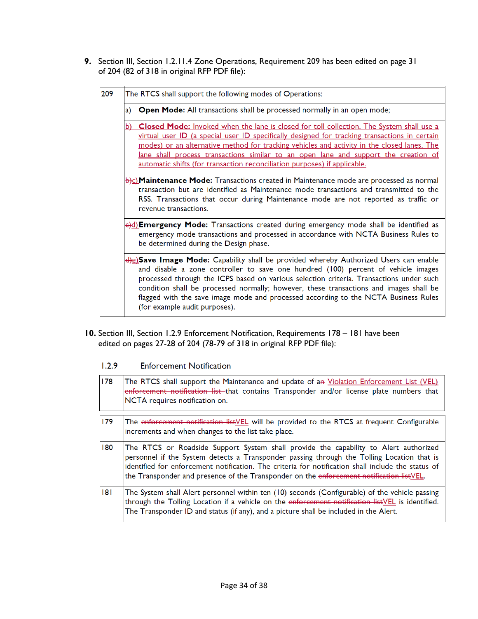**9.** Section III, Section 1.2.11.4 Zone Operations, Requirement 209 has been edited on page 31 of 204 (82 of 318 in original RFP PDF file):

| 209 | The RTCS shall support the following modes of Operations:                                                                                                                                                                                                                                                                                                                                                                                                                                           |  |  |  |  |
|-----|-----------------------------------------------------------------------------------------------------------------------------------------------------------------------------------------------------------------------------------------------------------------------------------------------------------------------------------------------------------------------------------------------------------------------------------------------------------------------------------------------------|--|--|--|--|
|     | Open Mode: All transactions shall be processed normally in an open mode;<br>a)                                                                                                                                                                                                                                                                                                                                                                                                                      |  |  |  |  |
|     | Closed Mode: Invoked when the lane is closed for toll collection. The System shall use a<br>b)<br>virtual user ID (a special user ID specifically designed for tracking transactions in certain<br>modes) or an alternative method for tracking vehicles and activity in the closed lanes. The<br>lane shall process transactions similar to an open lane and support the creation of<br>automatic shifts (for transaction reconciliation purposes) if applicable.                                  |  |  |  |  |
|     | $\frac{b}{c}$ Maintenance Mode: Transactions created in Maintenance mode are processed as normal<br>transaction but are identified as Maintenance mode transactions and transmitted to the<br>RSS. Transactions that occur during Maintenance mode are not reported as traffic or<br>revenue transactions.                                                                                                                                                                                          |  |  |  |  |
|     | e)d) <b>Emergency Mode:</b> Transactions created during emergency mode shall be identified as<br>emergency mode transactions and processed in accordance with NCTA Business Rules to<br>be determined during the Design phase.                                                                                                                                                                                                                                                                      |  |  |  |  |
|     | <del>d)</del> e)Save Image Mode: Capability shall be provided whereby Authorized Users can enable<br>and disable a zone controller to save one hundred (100) percent of vehicle images<br>processed through the ICPS based on various selection criteria. Transactions under such<br>condition shall be processed normally; however, these transactions and images shall be<br>flagged with the save image mode and processed according to the NCTA Business Rules<br>(for example audit purposes). |  |  |  |  |

**10.** Section III, Section 1.2.9 Enforcement Notification, Requirements 178 – 181 have been edited on pages 27-28 of 204 (78-79 of 318 in original RFP PDF file):

|  | 1.2.9 | <b>Enforcement Notification</b> |
|--|-------|---------------------------------|
|--|-------|---------------------------------|

| 178 | The RTCS shall support the Maintenance and update of a <del>n</del> <u>Violation Enforcement List (VEL)</u><br>enforcement notification list that contains Transponder and/or license plate numbers that<br>NCTA requires notification on.                                                                                                                                           |
|-----|--------------------------------------------------------------------------------------------------------------------------------------------------------------------------------------------------------------------------------------------------------------------------------------------------------------------------------------------------------------------------------------|
| 179 | The enforcement notification listVEL will be provided to the RTCS at frequent Configurable<br>increments and when changes to the list take place.                                                                                                                                                                                                                                    |
| 180 | The RTCS or Roadside Support System shall provide the capability to Alert authorized<br>personnel if the System detects a Transponder passing through the Tolling Location that is<br>identified for enforcement notification. The criteria for notification shall include the status of<br>the Transponder and presence of the Transponder on the enforcement notification listVEL. |
| 181 | The System shall Alert personnel within ten (10) seconds (Configurable) of the vehicle passing<br>through the Tolling Location if a vehicle on the enforcement notification list VEL is identified.<br>The Transponder ID and status (if any), and a picture shall be included in the Alert.                                                                                         |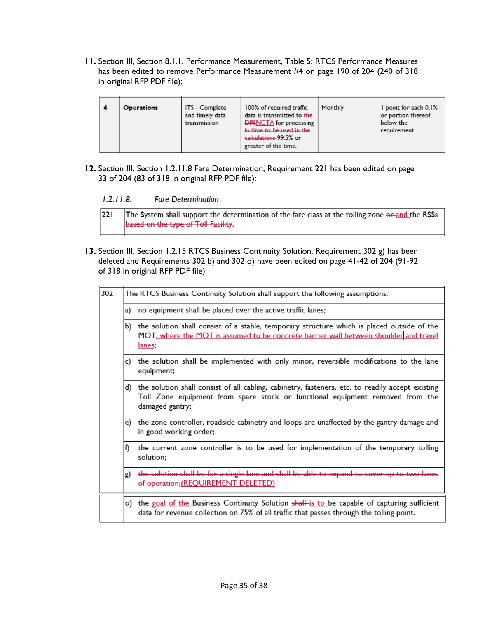**11.** Section III, Section 8.1.1. Performance Measurement, Table 5: RTCS Performance Measures has been edited to remove Performance Measurement #4 on page 190 of 204 (240 of 318 in original RFP PDF file):

| l 4 | <b>Operations</b> | ITS - Complete<br>and timely data<br>transmission | 100% of required traffic<br>data is transmitted to the<br><b>DPSNCTA</b> for processing<br>in time to be used in the<br>calculations-99.5% or<br>greater of the time. | Monthly | I point for each 0.1%<br>or portion thereof<br>below the<br>requirement |
|-----|-------------------|---------------------------------------------------|-----------------------------------------------------------------------------------------------------------------------------------------------------------------------|---------|-------------------------------------------------------------------------|
|-----|-------------------|---------------------------------------------------|-----------------------------------------------------------------------------------------------------------------------------------------------------------------------|---------|-------------------------------------------------------------------------|

**12.** Section III, Section 1.2.11.8 Fare Determination, Requirement 221 has been edited on page 33 of 204 (83 of 318 in original RFP PDF file):

 $221$ The System shall support the determination of the fare class at the tolling zone or and the RSSs based on the type of Toll Facility.

**13.** Section III, Section 1.2.15 RTCS Business Continuity Solution, Requirement 302 g) has been deleted and Requirements 302 b) and 302 o) have been edited on page 41-42 of 204 (91-92 of 318 in original RFP PDF file):

| 302 | The RTCS Business Continuity Solution shall support the following assumptions: |                                                                                                                                                                                                      |  |  |  |
|-----|--------------------------------------------------------------------------------|------------------------------------------------------------------------------------------------------------------------------------------------------------------------------------------------------|--|--|--|
|     | a)                                                                             | no equipment shall be placed over the active traffic lanes;                                                                                                                                          |  |  |  |
|     | P)                                                                             | the solution shall consist of a stable, temporary structure which is placed outside of the<br>MOT, where the MOT is assumed to be concrete barrier wall between shoulder and travel<br>lanes.        |  |  |  |
|     | c)                                                                             | the solution shall be implemented with only minor, reversible modifications to the lane<br>equipment;                                                                                                |  |  |  |
|     | d)                                                                             | the solution shall consist of all cabling, cabinetry, fasteners, etc. to readily accept existing<br>Toll Zone equipment from spare stock or functional equipment removed from the<br>damaged gantry; |  |  |  |
|     | e).                                                                            | the zone controller, roadside cabinetry and loops are unaffected by the gantry damage and<br>in good working order;                                                                                  |  |  |  |
|     | f)                                                                             | the current zone controller is to be used for implementation of the temporary tolling<br>solution;                                                                                                   |  |  |  |
|     | g)                                                                             | the solution shall be for a single lane and shall be able to expand to cover up to two lanes<br>of operation; (REQUIREMENT DELETED)                                                                  |  |  |  |
|     | o)                                                                             | the goal of the Business Continuity Solution shall is to be capable of capturing sufficient<br>data for revenue collection on 75% of all traffic that passes through the tolling point.              |  |  |  |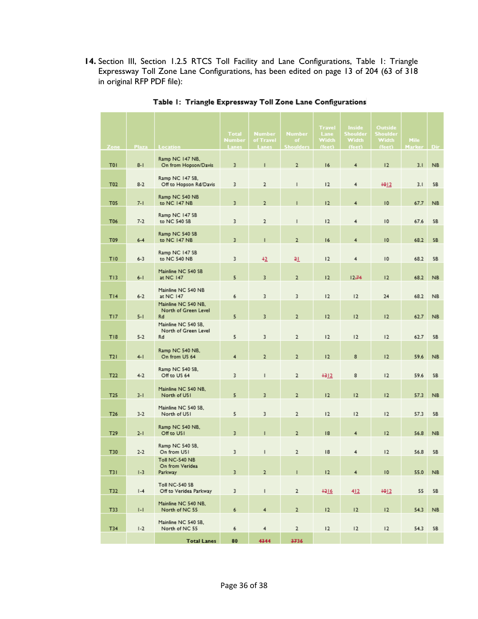14. Section III, Section 1.2.5 RTCS Toll Facility and Lane Configurations, Table 1: Triangle Expressway Toll Zone Lane Configurations, has been edited on page 13 of 204 (63 of 318 in original RFP PDF file):

|                 |              |                                                   | <b>Total</b>    | <b>Number</b>      | <b>Number</b>          | <b>Travel</b><br><b>Lane</b> | <b>Inside</b><br>Shoulder | <b>Outside</b><br>Shoulder |                              |           |
|-----------------|--------------|---------------------------------------------------|-----------------|--------------------|------------------------|------------------------------|---------------------------|----------------------------|------------------------------|-----------|
| Zone            | <b>Plaza</b> | Location                                          | Number<br>Lanes | of Travel<br>Lanes | of<br><b>Shoulders</b> | Width<br>(feet)              | <b>Width</b><br>(feet)    | Width<br>(feet)            | <b>Mile</b><br><b>Marker</b> | Dir       |
| T <sub>0</sub>  | $8 - 1$      | Ramp NC 147 NB,<br>On from Hopson/Davis           | 3               | т                  | $\overline{2}$         | 16                           | 4                         | 12                         | 3.1                          | <b>NB</b> |
| T02             | $8-2$        | Ramp NC 147 SB,<br>Off to Hopson Rd/Davis         | 3               | $\overline{2}$     | т                      | 12                           | 4                         | $+912$                     | 3.1                          | SB        |
| <b>T05</b>      | $7-1$        | Ramp NC 540 NB<br>to NC 147 NB                    | 3               | $\overline{2}$     | п                      | 12                           | 4                         | 10                         | 67.7                         | <b>NB</b> |
| T06             | $7-2$        | Ramp NC 147 SB<br>to NC 540 SB                    | 3               | $\overline{2}$     | $\mathsf{I}$           | 12                           | 4                         | 10                         | 67.6                         | SB        |
| T09             | $6 - 4$      | Ramp NC 540 SB<br>to NC 147 NB                    | 3               | $\mathbf{I}$       | $\overline{2}$         | 16                           | 4                         | 10                         | 68.2                         | <b>SB</b> |
| T <sub>10</sub> | $6 - 3$      | Ramp NC 147 SB<br>to NC 540 NB                    | 3               | $+2$               | 21                     | 12                           | 4                         | $\overline{10}$            | 68.2                         | SB        |
| T13             | $6 - 1$      | Mainline NC 540 SB<br>at NC 147                   | 5               | 3                  | $\overline{2}$         | 12                           | 12.74                     | 12                         | 68.2                         | <b>NB</b> |
| T14             | $6 - 2$      | Mainline NC 540 NB<br>at NC 147                   | 6               | 3                  | 3                      | 12                           | 12                        | 24                         | 68.2                         | <b>NB</b> |
| TI7             | $5-1$        | Mainline NC 540 NB.<br>North of Green Level<br>Rd | 5               | 3                  | $\overline{2}$         | 12                           | 12                        | 12                         | 62.7                         | NB.       |
| T18             | $5 - 2$      | Mainline NC 540 SB,<br>North of Green Level<br>Rd | 5               | 3                  | $\overline{2}$         | 12                           | 12                        | 12                         | 62.7                         | SB        |
| T21             | $4-1$        | Ramp NC 540 NB,<br>On from US 64                  | 4               | $\overline{2}$     | $\overline{2}$         | 12                           | 8                         | 12                         | 59.6                         | NB.       |
| T <sub>22</sub> | $4 - 2$      | Ramp NC 540 SB,<br>Off to US 64                   | 3               | $\mathsf{I}$       | $\overline{2}$         | $+312$                       | 8                         | 12                         | 59.6                         | SB        |
| T <sub>25</sub> | $3 - 1$      | Mainline NC 540 NB,<br>North of USI               | 5               | 3                  | $\overline{2}$         | 12                           | 12                        | 12                         | 57.3                         | <b>NB</b> |
| T26             | $3-2$        | Mainline NC 540 SB,<br>North of USI               | 5               | 3                  | $\mathbf{2}$           | 12                           | 12                        | 12                         | 57.3                         | SB        |
| T <sub>29</sub> | $2 - 1$      | Ramp NC 540 NB,<br>Off to USI                     | 3               | т                  | $\overline{2}$         | 18                           | 4                         | 12                         | 56.8                         | <b>NB</b> |
| T30             | $2 - 2$      | Ramp NC 540 SB,<br>On from USI                    | 3               | $\mathbf{I}$       | $\overline{2}$         | 18                           | 4                         | 12                         | 56.8                         | SB        |
| <b>T31</b>      | $1-3$        | Toll NC-540 NB<br>On from Veridea<br>Parkway      | 3               | $\overline{2}$     | п                      | 12                           | 4                         | 10                         | 55.0                         | <b>NB</b> |
| T32             | $  -4$       | Toll NC-540 SB<br>Off to Veridea Parkway          | 3               | $\mathsf{I}$       | $\overline{2}$         | $+216$                       | 412                       | $+012$                     | 55                           | SB        |
| T33             | $  -  $      | Mainline NC 540 NB,<br>North of NC 55             | 6               | 4                  | $\overline{2}$         | 12                           | 12                        | 12                         | 54.3                         | <b>NB</b> |
| T34             | $1-2$        | Mainline NC 540 SB,<br>North of NC 55             | 6               | 4                  | $\overline{2}$         | 12                           | 12                        | 12                         | 54.3                         | SB        |
|                 |              | <b>Total Lanes</b>                                | 80              | 4344               | 3736                   |                              |                           |                            |                              |           |

## Table 1: Triangle Expressway Toll Zone Lane Configurations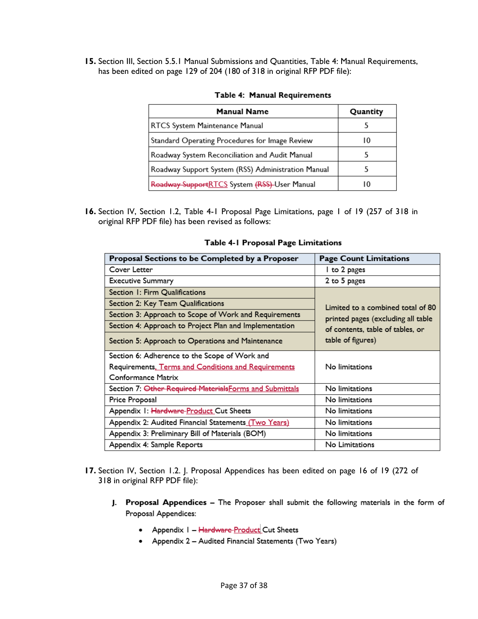**15.** Section III, Section 5.5.1 Manual Submissions and Quantities, Table 4: Manual Requirements, has been edited on page 129 of 204 (180 of 318 in original RFP PDF file):

| <b>Manual Name</b>                                 | Quantity |
|----------------------------------------------------|----------|
| RTCS System Maintenance Manual                     |          |
| Standard Operating Procedures for Image Review     | 10       |
| Roadway System Reconciliation and Audit Manual     | 5        |
| Roadway Support System (RSS) Administration Manual |          |
| Roadway SupportRTCS System (RSS)-User Manual       | 10       |

#### Table 4: Manual Requirements

**16.** Section IV, Section 1.2, Table 4-1 Proposal Page Limitations, page 1 of 19 (257 of 318 in original RFP PDF file) has been revised as follows:

| Proposal Sections to be Completed by a Proposer          | <b>Page Count Limitations</b>                                                                                                    |  |  |  |
|----------------------------------------------------------|----------------------------------------------------------------------------------------------------------------------------------|--|--|--|
| Cover Letter                                             | I to 2 pages                                                                                                                     |  |  |  |
| <b>Executive Summary</b>                                 | 2 to 5 pages                                                                                                                     |  |  |  |
| Section 1: Firm Qualifications                           | Limited to a combined total of 80<br>printed pages (excluding all table<br>of contents, table of tables, or<br>table of figures) |  |  |  |
| Section 2: Key Team Qualifications                       |                                                                                                                                  |  |  |  |
| Section 3: Approach to Scope of Work and Requirements    |                                                                                                                                  |  |  |  |
| Section 4: Approach to Project Plan and Implementation   |                                                                                                                                  |  |  |  |
| Section 5: Approach to Operations and Maintenance        |                                                                                                                                  |  |  |  |
| Section 6: Adherence to the Scope of Work and            |                                                                                                                                  |  |  |  |
| Requirements, Terms and Conditions and Requirements      | No limitations                                                                                                                   |  |  |  |
| Conformance Matrix                                       |                                                                                                                                  |  |  |  |
| Section 7: Other Required Materials Forms and Submittals | No limitations                                                                                                                   |  |  |  |
| Price Proposal                                           | No limitations                                                                                                                   |  |  |  |
| Appendix 1: Hardware-Product Cut Sheets                  | No limitations                                                                                                                   |  |  |  |
| Appendix 2: Audited Financial Statements (Two Years)     | No limitations                                                                                                                   |  |  |  |
| Appendix 3: Preliminary Bill of Materials (BOM)          | No limitations                                                                                                                   |  |  |  |
| Appendix 4: Sample Reports                               | No Limitations                                                                                                                   |  |  |  |

#### Table 4-1 Proposal Page Limitations

- **17.** Section IV, Section 1.2. J. Proposal Appendices has been edited on page 16 of 19 (272 of 318 in original RFP PDF file):
	- J. Proposal Appendices The Proposer shall submit the following materials in the form of Proposal Appendices:
		- Appendix I Hardware-Product Cut Sheets
		- Appendix 2 Audited Financial Statements (Two Years)